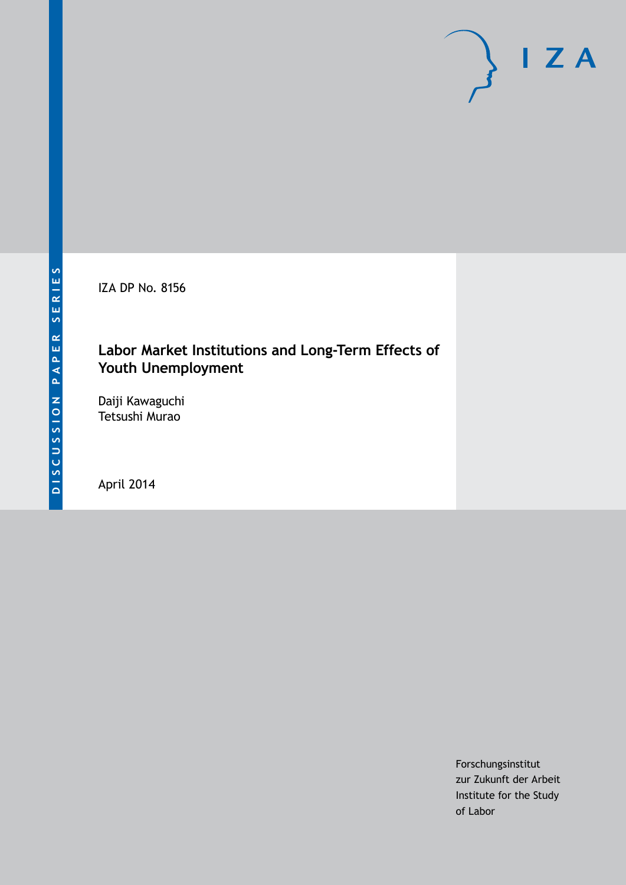IZA DP No. 8156

### **Labor Market Institutions and Long-Term Effects of Youth Unemployment**

Daiji Kawaguchi Tetsushi Murao

April 2014

Forschungsinstitut zur Zukunft der Arbeit Institute for the Study of Labor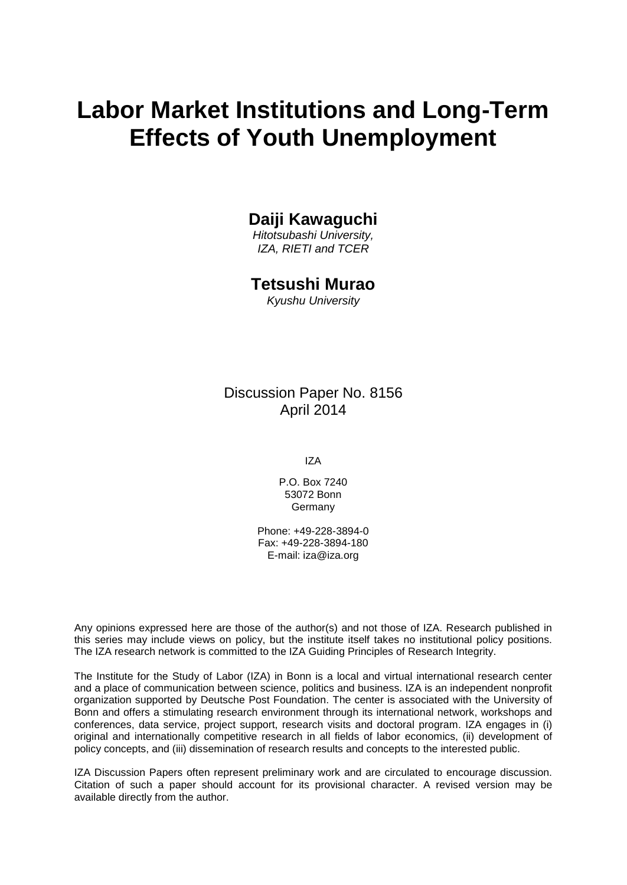# **Labor Market Institutions and Long-Term Effects of Youth Unemployment**

### **Daiji Kawaguchi**

*Hitotsubashi University, IZA, RIETI and TCER*

### **Tetsushi Murao**

*Kyushu University*

Discussion Paper No. 8156 April 2014

IZA

P.O. Box 7240 53072 Bonn Germany

Phone: +49-228-3894-0 Fax: +49-228-3894-180 E-mail: [iza@iza.org](mailto:iza@iza.org)

Any opinions expressed here are those of the author(s) and not those of IZA. Research published in this series may include views on policy, but the institute itself takes no institutional policy positions. The IZA research network is committed to the IZA Guiding Principles of Research Integrity.

The Institute for the Study of Labor (IZA) in Bonn is a local and virtual international research center and a place of communication between science, politics and business. IZA is an independent nonprofit organization supported by Deutsche Post Foundation. The center is associated with the University of Bonn and offers a stimulating research environment through its international network, workshops and conferences, data service, project support, research visits and doctoral program. IZA engages in (i) original and internationally competitive research in all fields of labor economics, (ii) development of policy concepts, and (iii) dissemination of research results and concepts to the interested public.

<span id="page-1-0"></span>IZA Discussion Papers often represent preliminary work and are circulated to encourage discussion. Citation of such a paper should account for its provisional character. A revised version may be available directly from the author.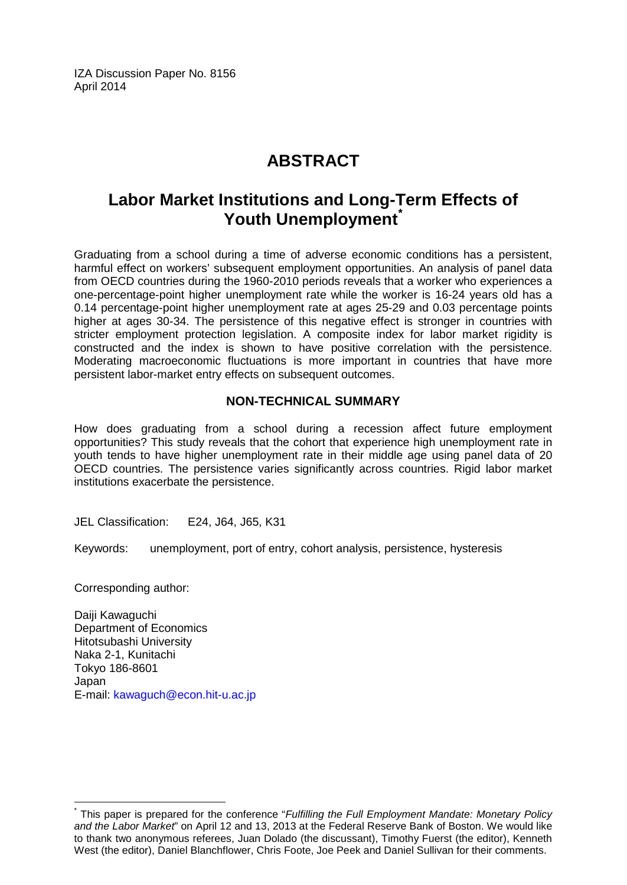IZA Discussion Paper No. 8156 April 2014

# **ABSTRACT**

## **Labor Market Institutions and Long-Term Effects of Youth Unemployment[\\*](#page-1-0)**

Graduating from a school during a time of adverse economic conditions has a persistent, harmful effect on workers' subsequent employment opportunities. An analysis of panel data from OECD countries during the 1960-2010 periods reveals that a worker who experiences a one-percentage-point higher unemployment rate while the worker is 16-24 years old has a 0.14 percentage-point higher unemployment rate at ages 25-29 and 0.03 percentage points higher at ages 30-34. The persistence of this negative effect is stronger in countries with stricter employment protection legislation. A composite index for labor market rigidity is constructed and the index is shown to have positive correlation with the persistence. Moderating macroeconomic fluctuations is more important in countries that have more persistent labor-market entry effects on subsequent outcomes.

### **NON-TECHNICAL SUMMARY**

How does graduating from a school during a recession affect future employment opportunities? This study reveals that the cohort that experience high unemployment rate in youth tends to have higher unemployment rate in their middle age using panel data of 20 OECD countries. The persistence varies significantly across countries. Rigid labor market institutions exacerbate the persistence.

JEL Classification: E24, J64, J65, K31

Keywords: unemployment, port of entry, cohort analysis, persistence, hysteresis

Corresponding author:

Daiji Kawaguchi Department of Economics Hitotsubashi University Naka 2-1, Kunitachi Tokyo 186-8601 Japan E-mail: [kawaguch@econ.hit-u.ac.jp](mailto:kawaguch@econ.hit-u.ac.jp)

\* This paper is prepared for the conference "*Fulfilling the Full Employment Mandate: Monetary Policy and the Labor Market*" on April 12 and 13, 2013 at the Federal Reserve Bank of Boston. We would like to thank two anonymous referees, Juan Dolado (the discussant), Timothy Fuerst (the editor), Kenneth West (the editor), Daniel Blanchflower, Chris Foote, Joe Peek and Daniel Sullivan for their comments.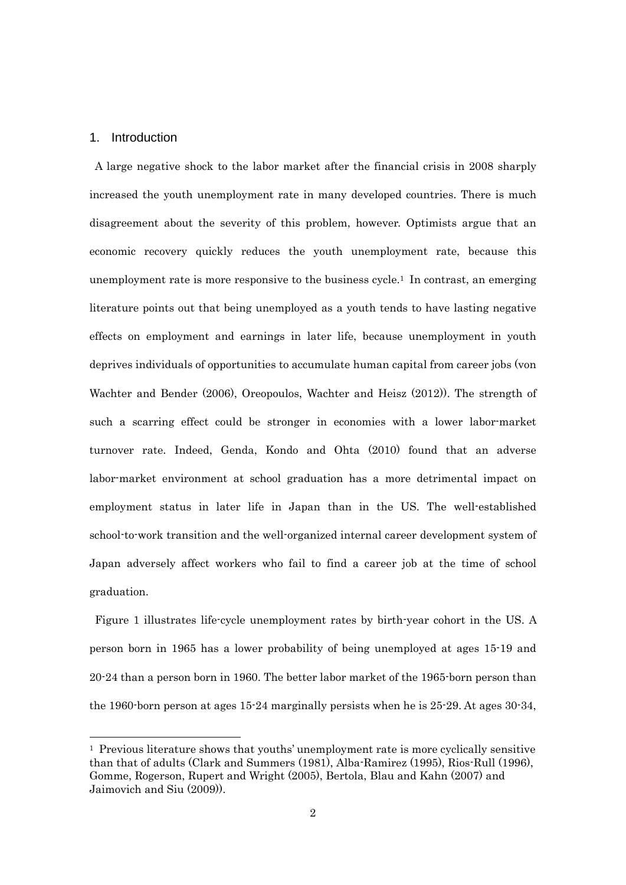#### 1. Introduction

-

 A large negative shock to the labor market after the financial crisis in 2008 sharply increased the youth unemployment rate in many developed countries. There is much disagreement about the severity of this problem, however. Optimists argue that an economic recovery quickly reduces the youth unemployment rate, because this unemployment rate is more responsive to the business cycle.<sup>1</sup> In contrast, an emerging literature points out that being unemployed as a youth tends to have lasting negative effects on employment and earnings in later life, because unemployment in youth deprives individuals of opportunities to accumulate human capital from career jobs (von Wachter and Bender (2006), Oreopoulos, Wachter and Heisz (2012)). The strength of such a scarring effect could be stronger in economies with a lower labor-market turnover rate. Indeed, Genda, Kondo and Ohta (2010) found that an adverse labor-market environment at school graduation has a more detrimental impact on employment status in later life in Japan than in the US. The well-established school-to-work transition and the well-organized internal career development system of Japan adversely affect workers who fail to find a career job at the time of school graduation.

 Figure 1 illustrates life-cycle unemployment rates by birth-year cohort in the US. A person born in 1965 has a lower probability of being unemployed at ages 15-19 and 20-24 than a person born in 1960. The better labor market of the 1965-born person than the 1960-born person at ages 15-24 marginally persists when he is 25-29. At ages 30-34,

<sup>&</sup>lt;sup>1</sup> Previous literature shows that youths' unemployment rate is more cyclically sensitive than that of adults (Clark and Summers (1981), Alba-Ramirez (1995), Rios-Rull (1996), Gomme, Rogerson, Rupert and Wright (2005), Bertola, Blau and Kahn (2007) and Jaimovich and Siu (2009)).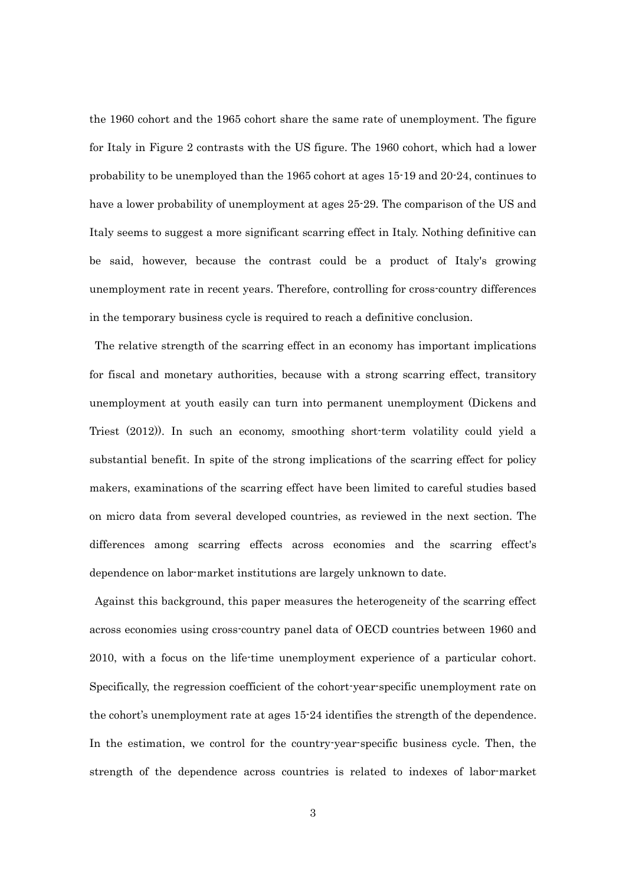the 1960 cohort and the 1965 cohort share the same rate of unemployment. The figure for Italy in Figure 2 contrasts with the US figure. The 1960 cohort, which had a lower probability to be unemployed than the 1965 cohort at ages 15-19 and 20-24, continues to have a lower probability of unemployment at ages 25-29. The comparison of the US and Italy seems to suggest a more significant scarring effect in Italy. Nothing definitive can be said, however, because the contrast could be a product of Italy's growing unemployment rate in recent years. Therefore, controlling for cross-country differences in the temporary business cycle is required to reach a definitive conclusion.

The relative strength of the scarring effect in an economy has important implications for fiscal and monetary authorities, because with a strong scarring effect, transitory unemployment at youth easily can turn into permanent unemployment (Dickens and Triest (2012)). In such an economy, smoothing short-term volatility could yield a substantial benefit. In spite of the strong implications of the scarring effect for policy makers, examinations of the scarring effect have been limited to careful studies based on micro data from several developed countries, as reviewed in the next section. The differences among scarring effects across economies and the scarring effect's dependence on labor-market institutions are largely unknown to date.

 Against this background, this paper measures the heterogeneity of the scarring effect across economies using cross-country panel data of OECD countries between 1960 and 2010, with a focus on the life-time unemployment experience of a particular cohort. Specifically, the regression coefficient of the cohort-year-specific unemployment rate on the cohort's unemployment rate at ages 15-24 identifies the strength of the dependence. In the estimation, we control for the country-year-specific business cycle. Then, the strength of the dependence across countries is related to indexes of labor-market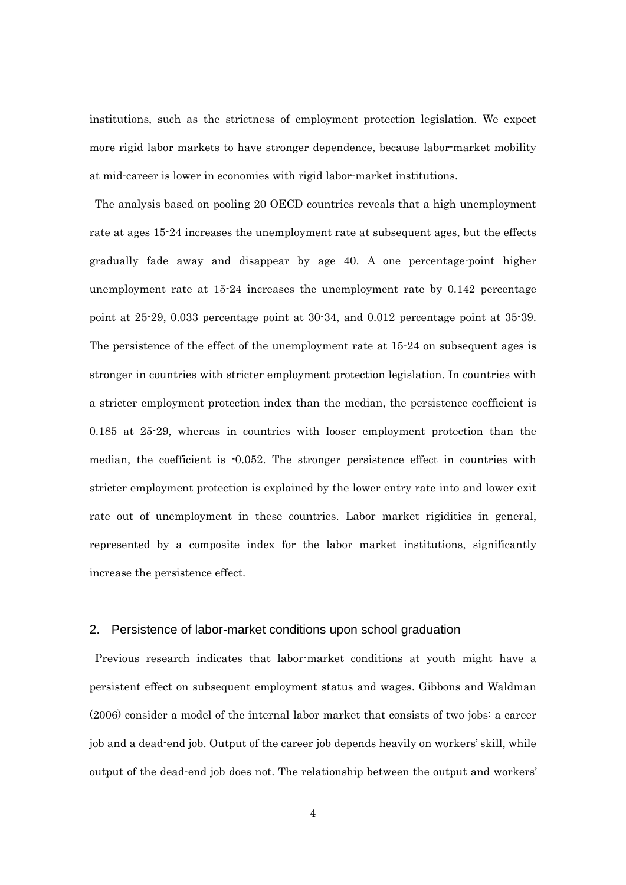institutions, such as the strictness of employment protection legislation. We expect more rigid labor markets to have stronger dependence, because labor-market mobility at mid-career is lower in economies with rigid labor-market institutions.

The analysis based on pooling 20 OECD countries reveals that a high unemployment rate at ages 15-24 increases the unemployment rate at subsequent ages, but the effects gradually fade away and disappear by age 40. A one percentage-point higher unemployment rate at 15-24 increases the unemployment rate by 0.142 percentage point at 25-29, 0.033 percentage point at 30-34, and 0.012 percentage point at 35-39. The persistence of the effect of the unemployment rate at 15-24 on subsequent ages is stronger in countries with stricter employment protection legislation. In countries with a stricter employment protection index than the median, the persistence coefficient is 0.185 at 25-29, whereas in countries with looser employment protection than the median, the coefficient is -0.052. The stronger persistence effect in countries with stricter employment protection is explained by the lower entry rate into and lower exit rate out of unemployment in these countries. Labor market rigidities in general, represented by a composite index for the labor market institutions, significantly increase the persistence effect.

#### 2. Persistence of labor-market conditions upon school graduation

Previous research indicates that labor-market conditions at youth might have a persistent effect on subsequent employment status and wages. Gibbons and Waldman (2006) consider a model of the internal labor market that consists of two jobs: a career job and a dead-end job. Output of the career job depends heavily on workers' skill, while output of the dead-end job does not. The relationship between the output and workers'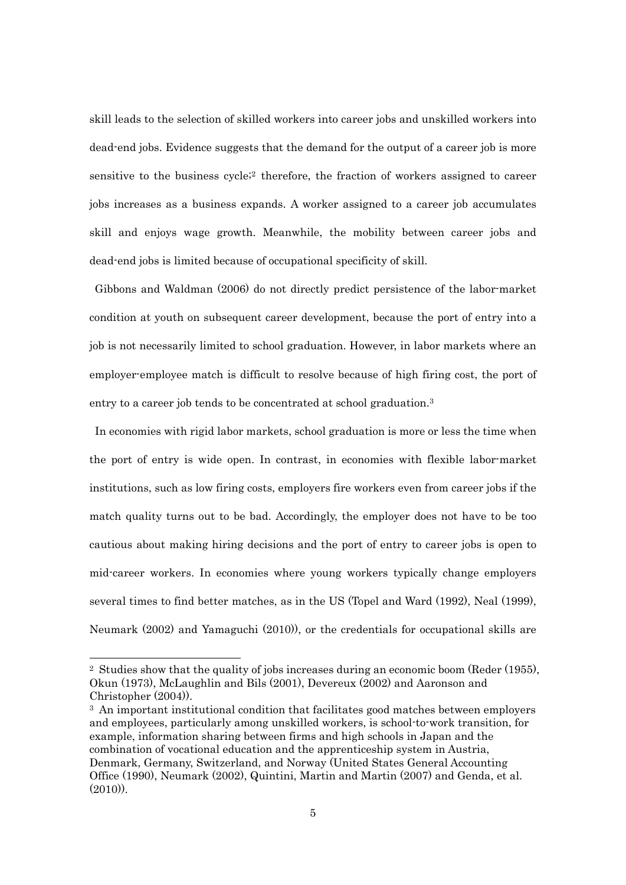skill leads to the selection of skilled workers into career jobs and unskilled workers into dead-end jobs. Evidence suggests that the demand for the output of a career job is more sensitive to the business cycle<sup>;2</sup> therefore, the fraction of workers assigned to career jobs increases as a business expands. A worker assigned to a career job accumulates skill and enjoys wage growth. Meanwhile, the mobility between career jobs and dead-end jobs is limited because of occupational specificity of skill.

 Gibbons and Waldman (2006) do not directly predict persistence of the labor-market condition at youth on subsequent career development, because the port of entry into a job is not necessarily limited to school graduation. However, in labor markets where an employer-employee match is difficult to resolve because of high firing cost, the port of entry to a career job tends to be concentrated at school graduation.<sup>3</sup>

In economies with rigid labor markets, school graduation is more or less the time when the port of entry is wide open. In contrast, in economies with flexible labor-market institutions, such as low firing costs, employers fire workers even from career jobs if the match quality turns out to be bad. Accordingly, the employer does not have to be too cautious about making hiring decisions and the port of entry to career jobs is open to mid-career workers. In economies where young workers typically change employers several times to find better matches, as in the US (Topel and Ward (1992), Neal (1999), Neumark (2002) and Yamaguchi (2010)), or the credentials for occupational skills are

<sup>2</sup> Studies show that the quality of jobs increases during an economic boom (Reder (1955), Okun (1973), McLaughlin and Bils (2001), Devereux (2002) and Aaronson and Christopher (2004)).

<sup>3</sup> An important institutional condition that facilitates good matches between employers and employees, particularly among unskilled workers, is school-to-work transition, for example, information sharing between firms and high schools in Japan and the combination of vocational education and the apprenticeship system in Austria, Denmark, Germany, Switzerland, and Norway (United States General Accounting Office (1990), Neumark (2002), Quintini, Martin and Martin (2007) and Genda, et al.  $(2010)$ .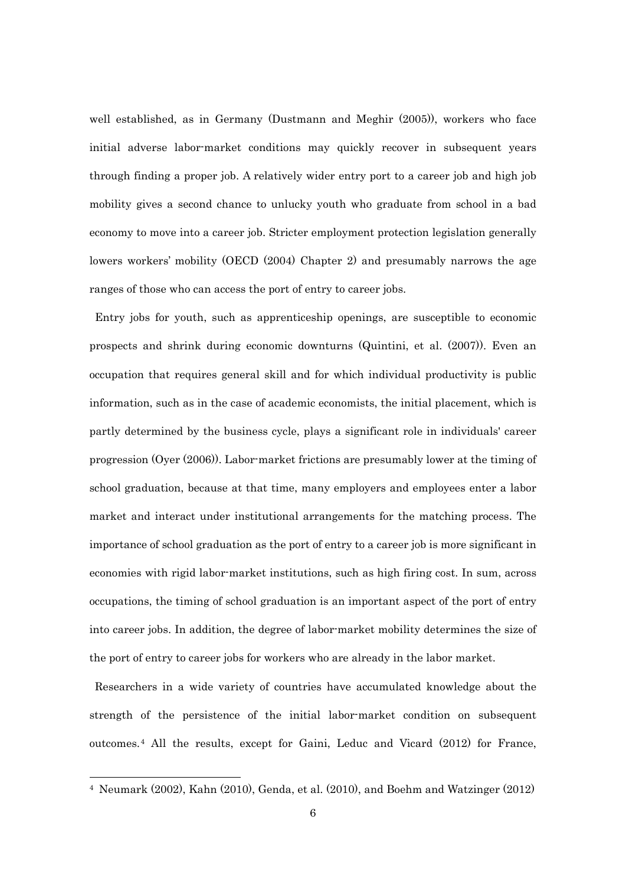well established, as in Germany (Dustmann and Meghir (2005)), workers who face initial adverse labor-market conditions may quickly recover in subsequent years through finding a proper job. A relatively wider entry port to a career job and high job mobility gives a second chance to unlucky youth who graduate from school in a bad economy to move into a career job. Stricter employment protection legislation generally lowers workers' mobility (OECD (2004) Chapter 2) and presumably narrows the age ranges of those who can access the port of entry to career jobs.

Entry jobs for youth, such as apprenticeship openings, are susceptible to economic prospects and shrink during economic downturns (Quintini, et al. (2007)). Even an occupation that requires general skill and for which individual productivity is public information, such as in the case of academic economists, the initial placement, which is partly determined by the business cycle, plays a significant role in individuals' career progression (Oyer (2006)). Labor-market frictions are presumably lower at the timing of school graduation, because at that time, many employers and employees enter a labor market and interact under institutional arrangements for the matching process. The importance of school graduation as the port of entry to a career job is more significant in economies with rigid labor-market institutions, such as high firing cost. In sum, across occupations, the timing of school graduation is an important aspect of the port of entry into career jobs. In addition, the degree of labor-market mobility determines the size of the port of entry to career jobs for workers who are already in the labor market.

Researchers in a wide variety of countries have accumulated knowledge about the strength of the persistence of the initial labor-market condition on subsequent outcomes.4 All the results, except for Gaini, Leduc and Vicard (2012) for France,

<sup>4</sup> Neumark (2002), Kahn (2010), Genda, et al. (2010), and Boehm and Watzinger (2012)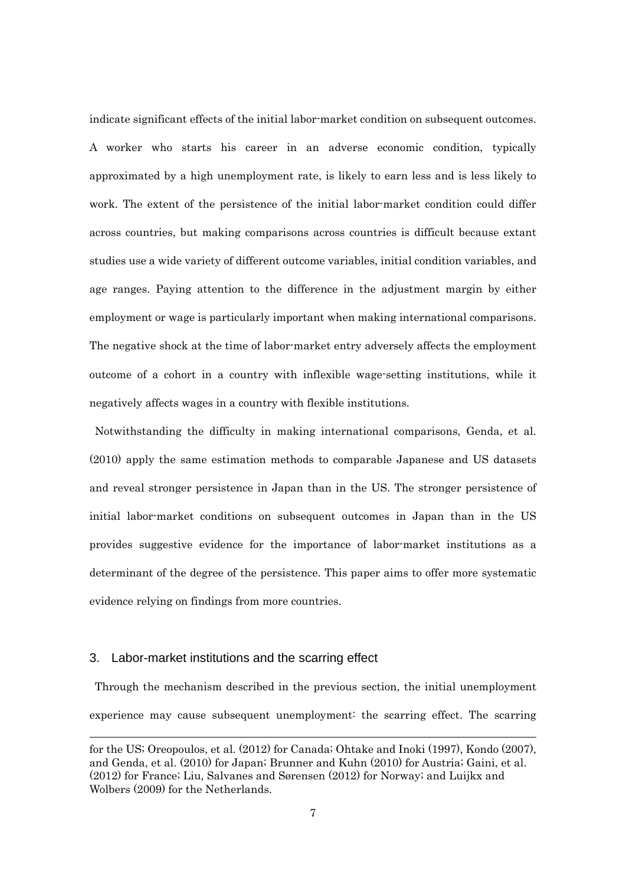indicate significant effects of the initial labor-market condition on subsequent outcomes. A worker who starts his career in an adverse economic condition, typically approximated by a high unemployment rate, is likely to earn less and is less likely to work. The extent of the persistence of the initial labor-market condition could differ across countries, but making comparisons across countries is difficult because extant studies use a wide variety of different outcome variables, initial condition variables, and age ranges. Paying attention to the difference in the adjustment margin by either employment or wage is particularly important when making international comparisons. The negative shock at the time of labor-market entry adversely affects the employment outcome of a cohort in a country with inflexible wage-setting institutions, while it negatively affects wages in a country with flexible institutions.

Notwithstanding the difficulty in making international comparisons, Genda, et al. (2010) apply the same estimation methods to comparable Japanese and US datasets and reveal stronger persistence in Japan than in the US. The stronger persistence of initial labor-market conditions on subsequent outcomes in Japan than in the US provides suggestive evidence for the importance of labor-market institutions as a determinant of the degree of the persistence. This paper aims to offer more systematic evidence relying on findings from more countries.

#### 3. Labor-market institutions and the scarring effect

-

Through the mechanism described in the previous section, the initial unemployment experience may cause subsequent unemployment: the scarring effect. The scarring

for the US; Oreopoulos, et al. (2012) for Canada; Ohtake and Inoki (1997), Kondo (2007), and Genda, et al. (2010) for Japan; Brunner and Kuhn (2010) for Austria; Gaini, et al. (2012) for France; Liu, Salvanes and Sørensen (2012) for Norway; and Luijkx and Wolbers (2009) for the Netherlands.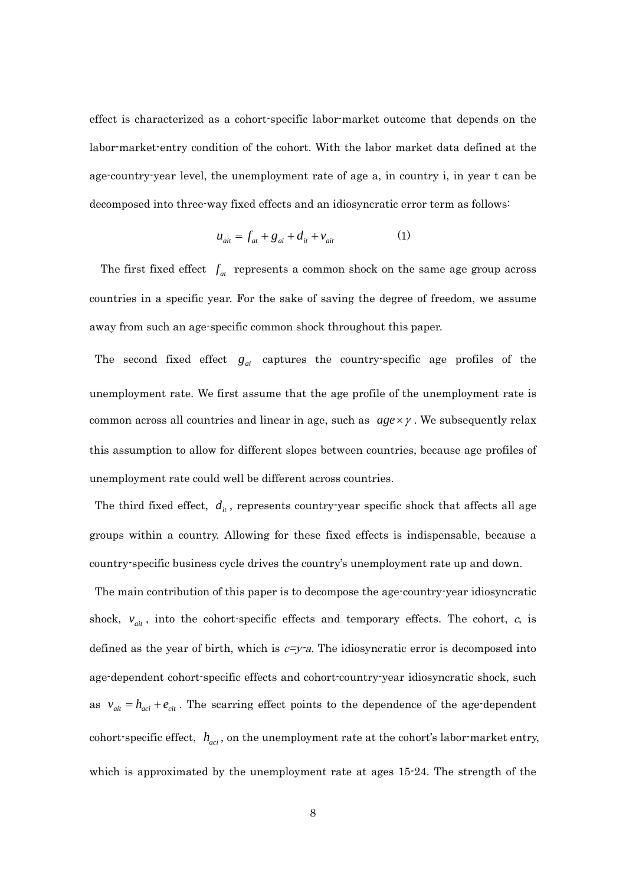effect is characterized as a cohort-specific labor-market outcome that depends on the labor-market-entry condition of the cohort. With the labor market data defined at the age-country-year level, the unemployment rate of age a, in country i, in year t can be decomposed into three-way fixed effects and an idiosyncratic error term as follows:

$$
u_{\text{air}} = f_{\text{at}} + g_{\text{ai}} + d_{\text{it}} + v_{\text{ait}} \tag{1}
$$

The first fixed effect  $f_{at}$  represents a common shock on the same age group across countries in a specific year. For the sake of saving the degree of freedom, we assume away from such an age-specific common shock throughout this paper.

The second fixed effect  $g_{ai}$  captures the country-specific age profiles of the unemployment rate. We first assume that the age profile of the unemployment rate is common across all countries and linear in age, such as  $age \times \gamma$ . We subsequently relax this assumption to allow for different slopes between countries, because age profiles of unemployment rate could well be different across countries.

The third fixed effect,  $d_i$ , represents country-year specific shock that affects all age groups within a country. Allowing for these fixed effects is indispensable, because a country-specific business cycle drives the country's unemployment rate up and down.

The main contribution of this paper is to decompose the age-country-year idiosyncratic shock,  $v_{\text{air}}$ , into the cohort-specific effects and temporary effects. The cohort,  $c$ , is defined as the year of birth, which is  $c=y-a$ . The idiosyncratic error is decomposed into age-dependent cohort-specific effects and cohort-country-year idiosyncratic shock, such as  $v_{\text{air}} = h_{\text{act}} + e_{\text{cit}}$ . The scarring effect points to the dependence of the age-dependent cohort-specific effect,  $h_{\text{act}}$ , on the unemployment rate at the cohort's labor-market entry, which is approximated by the unemployment rate at ages 15-24. The strength of the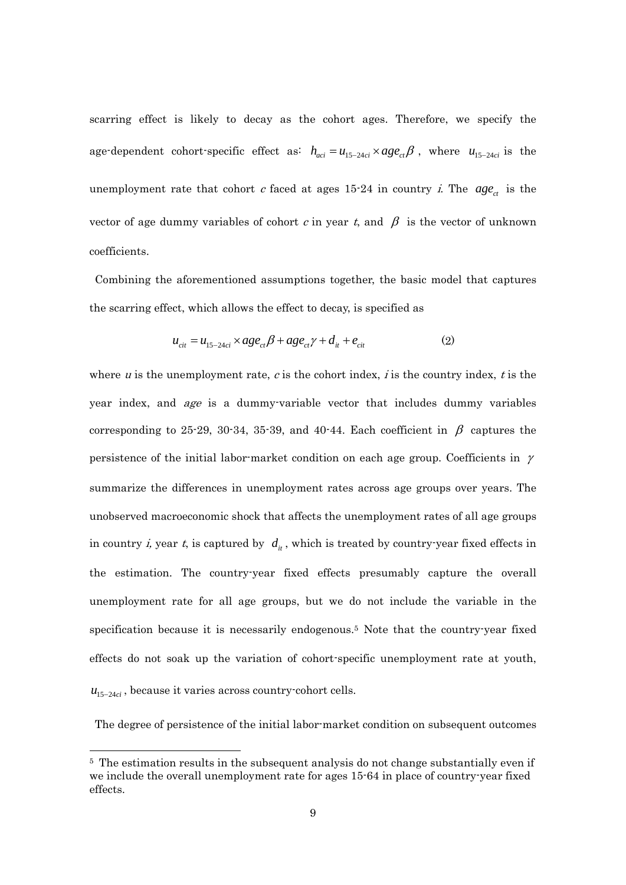scarring effect is likely to decay as the cohort ages. Therefore, we specify the age-dependent cohort-specific effect as:  $h_{aci} = u_{15-24ci} \times age_{ci} \beta$ , where  $u_{15-24ci}$  is the unemployment rate that cohort c faced at ages  $15{\cdot}24$  in country i. The  $age_{ct}$  is the vector of age dummy variables of cohort c in year t, and  $\beta$  is the vector of unknown coefficients.

Combining the aforementioned assumptions together, the basic model that captures the scarring effect, which allows the effect to decay, is specified as

$$
u_{\text{cit}} = u_{15-24\text{ci}} \times age_{\text{ct}} \beta + age_{\text{ct}} \gamma + d_{\text{it}} + e_{\text{cit}} \tag{2}
$$

where u is the unemployment rate, c is the cohort index, i is the country index, t is the year index, and age is a dummy-variable vector that includes dummy variables corresponding to 25-29, 30-34, 35-39, and 40-44. Each coefficient in  $\beta$  captures the persistence of the initial labor-market condition on each age group. Coefficients in  $\gamma$ summarize the differences in unemployment rates across age groups over years. The unobserved macroeconomic shock that affects the unemployment rates of all age groups in country *i*, year *t*, is captured by  $d_i$ , which is treated by country-year fixed effects in the estimation. The country-year fixed effects presumably capture the overall unemployment rate for all age groups, but we do not include the variable in the specification because it is necessarily endogenous.5 Note that the country-year fixed effects do not soak up the variation of cohort-specific unemployment rate at youth,  $u_{15-24ci}$ , because it varies across country-cohort cells.

The degree of persistence of the initial labor-market condition on subsequent outcomes

<sup>5</sup> The estimation results in the subsequent analysis do not change substantially even if we include the overall unemployment rate for ages 15-64 in place of country-year fixed effects.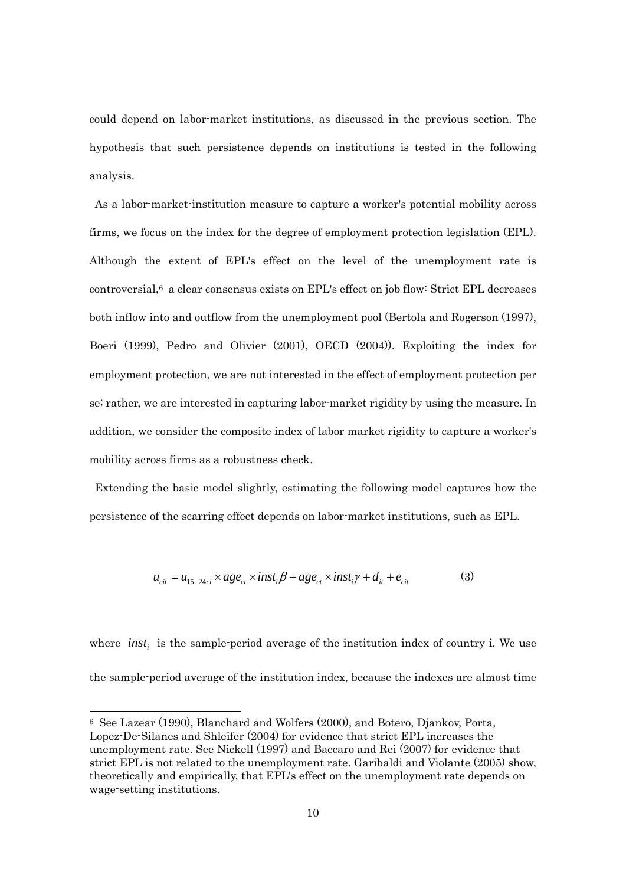could depend on labor-market institutions, as discussed in the previous section. The hypothesis that such persistence depends on institutions is tested in the following analysis.

As a labor-market-institution measure to capture a worker's potential mobility across firms, we focus on the index for the degree of employment protection legislation (EPL). Although the extent of EPL's effect on the level of the unemployment rate is controversial,6 a clear consensus exists on EPL's effect on job flow: Strict EPL decreases both inflow into and outflow from the unemployment pool (Bertola and Rogerson (1997), Boeri (1999), Pedro and Olivier (2001), OECD (2004)). Exploiting the index for employment protection, we are not interested in the effect of employment protection per se; rather, we are interested in capturing labor-market rigidity by using the measure. In addition, we consider the composite index of labor market rigidity to capture a worker's mobility across firms as a robustness check.

Extending the basic model slightly, estimating the following model captures how the persistence of the scarring effect depends on labor-market institutions, such as EPL.

$$
u_{\text{cit}} = u_{15-24\text{ci}} \times age_{\text{ct}} \times inst_i \beta + age_{\text{ct}} \times inst_i \gamma + d_{\text{it}} + e_{\text{cit}} \tag{3}
$$

where *inst*, is the sample-period average of the institution index of country i. We use the sample-period average of the institution index, because the indexes are almost time

<sup>6</sup> See Lazear (1990), Blanchard and Wolfers (2000), and Botero, Djankov, Porta, Lopez-De-Silanes and Shleifer (2004) for evidence that strict EPL increases the unemployment rate. See Nickell (1997) and Baccaro and Rei (2007) for evidence that strict EPL is not related to the unemployment rate. Garibaldi and Violante (2005) show, theoretically and empirically, that EPL's effect on the unemployment rate depends on wage-setting institutions.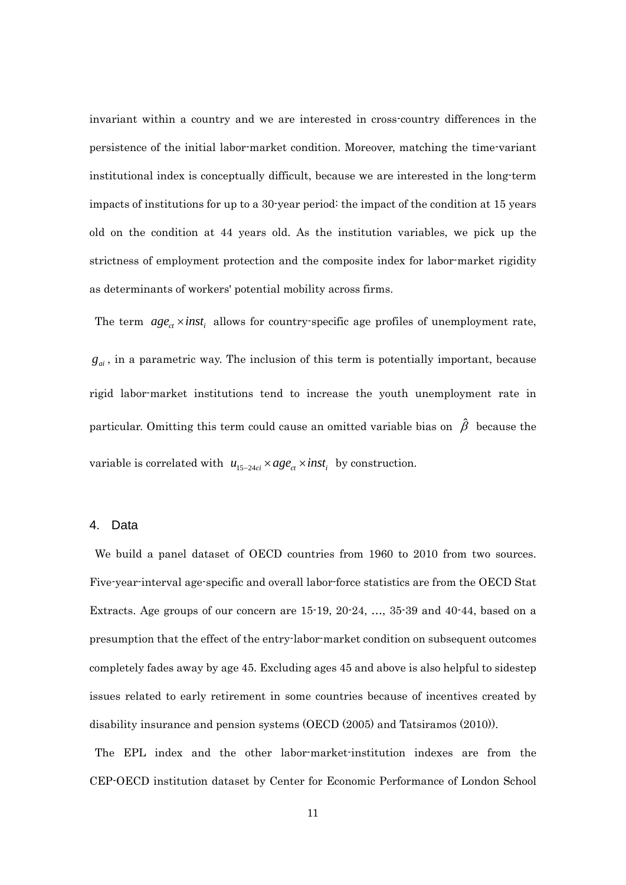invariant within a country and we are interested in cross-country differences in the persistence of the initial labor-market condition. Moreover, matching the time-variant institutional index is conceptually difficult, because we are interested in the long-term impacts of institutions for up to a 30-year period: the impact of the condition at 15 years old on the condition at 44 years old. As the institution variables, we pick up the strictness of employment protection and the composite index for labor-market rigidity as determinants of workers' potential mobility across firms.

The term  $age_{ct} \times inst_i$  allows for country-specific age profiles of unemployment rate,  $g_{ai}$ , in a parametric way. The inclusion of this term is potentially important, because rigid labor-market institutions tend to increase the youth unemployment rate in particular. Omitting this term could cause an omitted variable bias on  $\hat{\beta}$  because the variable is correlated with  $u_{15-24ci} \times age_{ct} \times inst_i$  by construction.

#### 4. Data

We build a panel dataset of OECD countries from 1960 to 2010 from two sources. Five-year-interval age-specific and overall labor-force statistics are from the OECD Stat Extracts. Age groups of our concern are 15-19, 20-24, …, 35-39 and 40-44, based on a presumption that the effect of the entry-labor-market condition on subsequent outcomes completely fades away by age 45. Excluding ages 45 and above is also helpful to sidestep issues related to early retirement in some countries because of incentives created by disability insurance and pension systems (OECD (2005) and Tatsiramos (2010)).

The EPL index and the other labor-market-institution indexes are from the CEP-OECD institution dataset by Center for Economic Performance of London School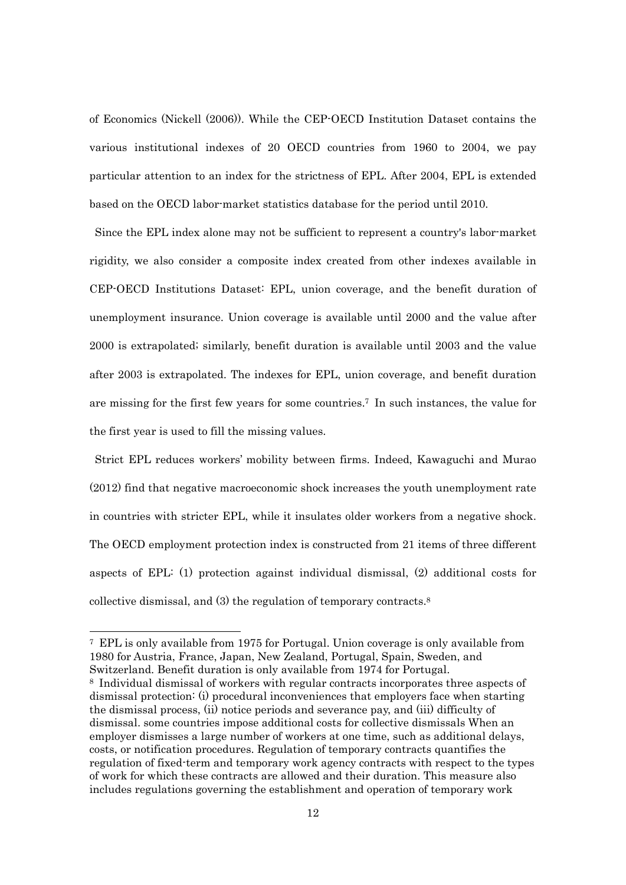of Economics (Nickell (2006)). While the CEP-OECD Institution Dataset contains the various institutional indexes of 20 OECD countries from 1960 to 2004, we pay particular attention to an index for the strictness of EPL. After 2004, EPL is extended based on the OECD labor-market statistics database for the period until 2010.

Since the EPL index alone may not be sufficient to represent a country's labor-market rigidity, we also consider a composite index created from other indexes available in CEP-OECD Institutions Dataset: EPL, union coverage, and the benefit duration of unemployment insurance. Union coverage is available until 2000 and the value after 2000 is extrapolated; similarly, benefit duration is available until 2003 and the value after 2003 is extrapolated. The indexes for EPL, union coverage, and benefit duration are missing for the first few years for some countries.7 In such instances, the value for the first year is used to fill the missing values.

Strict EPL reduces workers' mobility between firms. Indeed, Kawaguchi and Murao (2012) find that negative macroeconomic shock increases the youth unemployment rate in countries with stricter EPL, while it insulates older workers from a negative shock. The OECD employment protection index is constructed from 21 items of three different aspects of EPL: (1) protection against individual dismissal, (2) additional costs for collective dismissal, and (3) the regulation of temporary contracts.8

<sup>7</sup> EPL is only available from 1975 for Portugal. Union coverage is only available from 1980 for Austria, France, Japan, New Zealand, Portugal, Spain, Sweden, and Switzerland. Benefit duration is only available from 1974 for Portugal.

<sup>8</sup> Individual dismissal of workers with regular contracts incorporates three aspects of dismissal protection: (i) procedural inconveniences that employers face when starting the dismissal process, (ii) notice periods and severance pay, and (iii) difficulty of dismissal. some countries impose additional costs for collective dismissals When an employer dismisses a large number of workers at one time, such as additional delays, costs, or notification procedures. Regulation of temporary contracts quantifies the regulation of fixed-term and temporary work agency contracts with respect to the types of work for which these contracts are allowed and their duration. This measure also includes regulations governing the establishment and operation of temporary work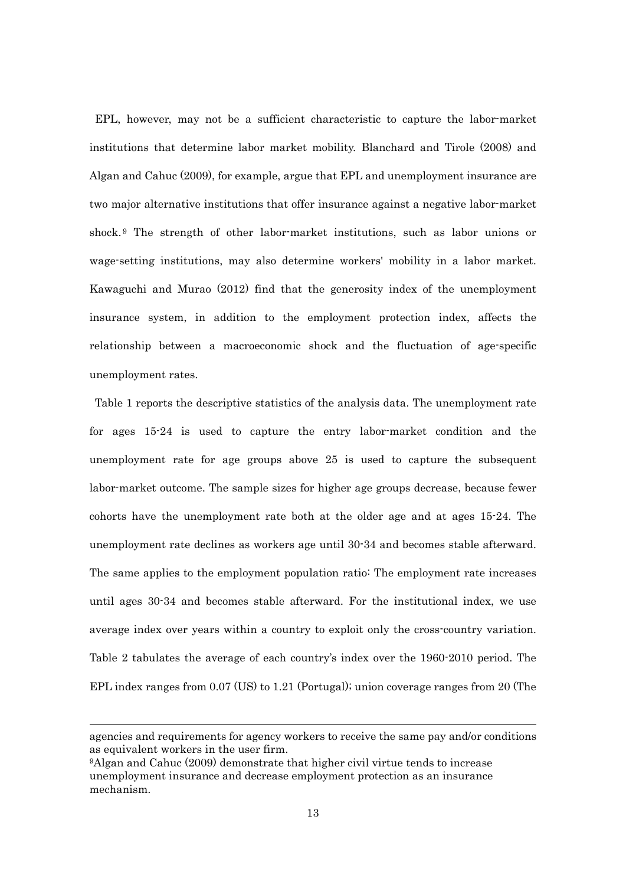EPL, however, may not be a sufficient characteristic to capture the labor-market institutions that determine labor market mobility. Blanchard and Tirole (2008) and Algan and Cahuc (2009), for example, argue that EPL and unemployment insurance are two major alternative institutions that offer insurance against a negative labor-market shock. 9 The strength of other labor-market institutions, such as labor unions or wage-setting institutions, may also determine workers' mobility in a labor market. Kawaguchi and Murao (2012) find that the generosity index of the unemployment insurance system, in addition to the employment protection index, affects the relationship between a macroeconomic shock and the fluctuation of age-specific unemployment rates.

Table 1 reports the descriptive statistics of the analysis data. The unemployment rate for ages 15-24 is used to capture the entry labor-market condition and the unemployment rate for age groups above 25 is used to capture the subsequent labor-market outcome. The sample sizes for higher age groups decrease, because fewer cohorts have the unemployment rate both at the older age and at ages 15-24. The unemployment rate declines as workers age until 30-34 and becomes stable afterward. The same applies to the employment population ratio: The employment rate increases until ages 30-34 and becomes stable afterward. For the institutional index, we use average index over years within a country to exploit only the cross-country variation. Table 2 tabulates the average of each country's index over the 1960-2010 period. The EPL index ranges from 0.07 (US) to 1.21 (Portugal); union coverage ranges from 20 (The

agencies and requirements for agency workers to receive the same pay and/or conditions as equivalent workers in the user firm.

<sup>9</sup>Algan and Cahuc (2009) demonstrate that higher civil virtue tends to increase unemployment insurance and decrease employment protection as an insurance mechanism.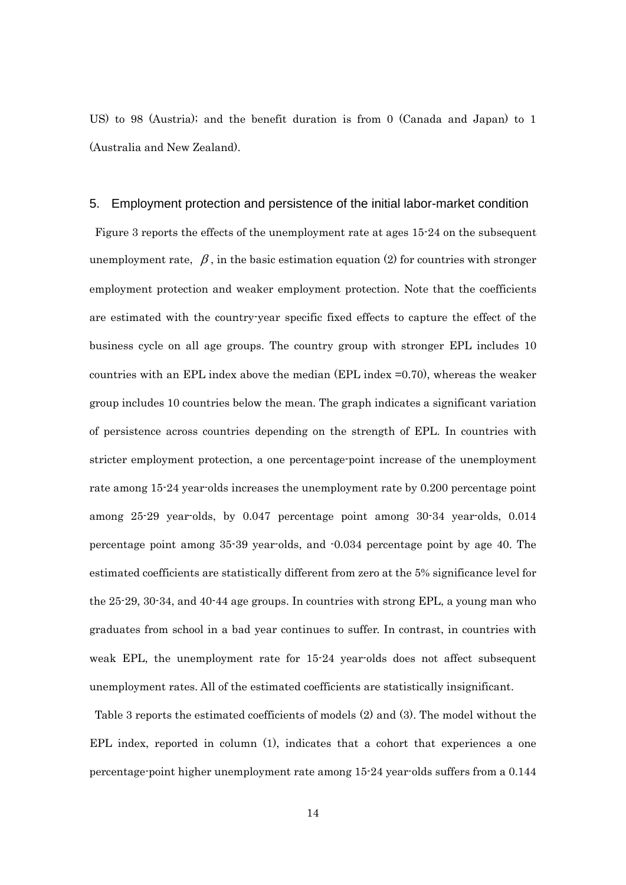US) to 98 (Austria); and the benefit duration is from 0 (Canada and Japan) to 1 (Australia and New Zealand).

#### 5. Employment protection and persistence of the initial labor-market condition

 Figure 3 reports the effects of the unemployment rate at ages 15-24 on the subsequent unemployment rate,  $\beta$ , in the basic estimation equation (2) for countries with stronger employment protection and weaker employment protection. Note that the coefficients are estimated with the country-year specific fixed effects to capture the effect of the business cycle on all age groups. The country group with stronger EPL includes 10 countries with an EPL index above the median (EPL index =0.70), whereas the weaker group includes 10 countries below the mean. The graph indicates a significant variation of persistence across countries depending on the strength of EPL. In countries with stricter employment protection, a one percentage-point increase of the unemployment rate among 15-24 year-olds increases the unemployment rate by 0.200 percentage point among 25-29 year-olds, by 0.047 percentage point among 30-34 year-olds, 0.014 percentage point among 35-39 year-olds, and -0.034 percentage point by age 40. The estimated coefficients are statistically different from zero at the 5% significance level for the 25-29, 30-34, and 40-44 age groups. In countries with strong EPL, a young man who graduates from school in a bad year continues to suffer. In contrast, in countries with weak EPL, the unemployment rate for 15-24 year-olds does not affect subsequent unemployment rates. All of the estimated coefficients are statistically insignificant.

Table 3 reports the estimated coefficients of models (2) and (3). The model without the EPL index, reported in column (1), indicates that a cohort that experiences a one percentage-point higher unemployment rate among 15-24 year-olds suffers from a 0.144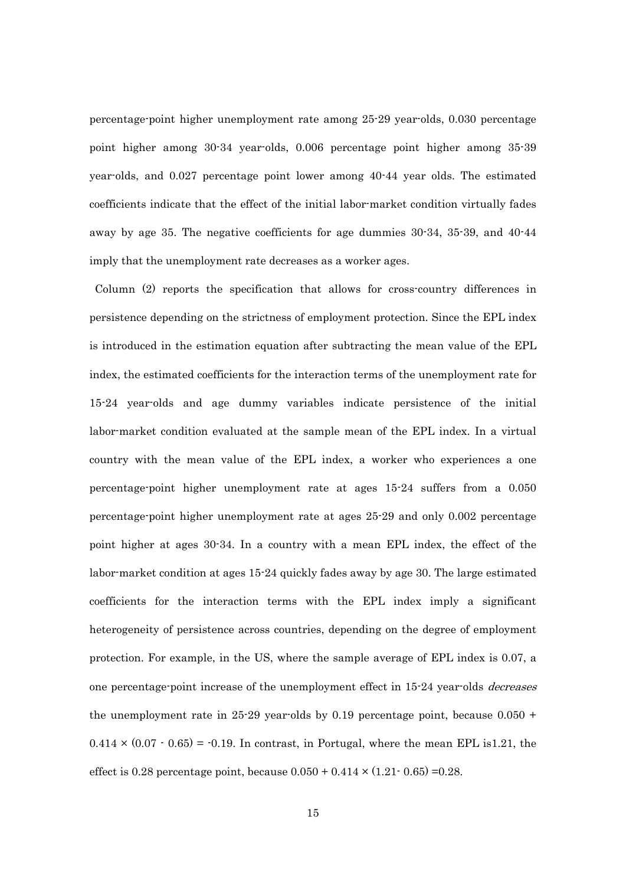percentage-point higher unemployment rate among 25-29 year-olds, 0.030 percentage point higher among 30-34 year-olds, 0.006 percentage point higher among 35-39 year-olds, and 0.027 percentage point lower among 40-44 year olds. The estimated coefficients indicate that the effect of the initial labor-market condition virtually fades away by age 35. The negative coefficients for age dummies 30-34, 35-39, and 40-44 imply that the unemployment rate decreases as a worker ages.

Column (2) reports the specification that allows for cross-country differences in persistence depending on the strictness of employment protection. Since the EPL index is introduced in the estimation equation after subtracting the mean value of the EPL index, the estimated coefficients for the interaction terms of the unemployment rate for 15-24 year-olds and age dummy variables indicate persistence of the initial labor-market condition evaluated at the sample mean of the EPL index. In a virtual country with the mean value of the EPL index, a worker who experiences a one percentage-point higher unemployment rate at ages 15-24 suffers from a 0.050 percentage-point higher unemployment rate at ages 25-29 and only 0.002 percentage point higher at ages 30-34. In a country with a mean EPL index, the effect of the labor-market condition at ages 15-24 quickly fades away by age 30. The large estimated coefficients for the interaction terms with the EPL index imply a significant heterogeneity of persistence across countries, depending on the degree of employment protection. For example, in the US, where the sample average of EPL index is 0.07, a one percentage-point increase of the unemployment effect in 15-24 year-olds *decreases* the unemployment rate in 25-29 year-olds by 0.19 percentage point, because  $0.050 +$  $0.414 \times (0.07 \cdot 0.65) = 0.19$ . In contrast, in Portugal, where the mean EPL is 1.21, the effect is 0.28 percentage point, because  $0.050 + 0.414 \times (1.21 \cdot 0.65) = 0.28$ .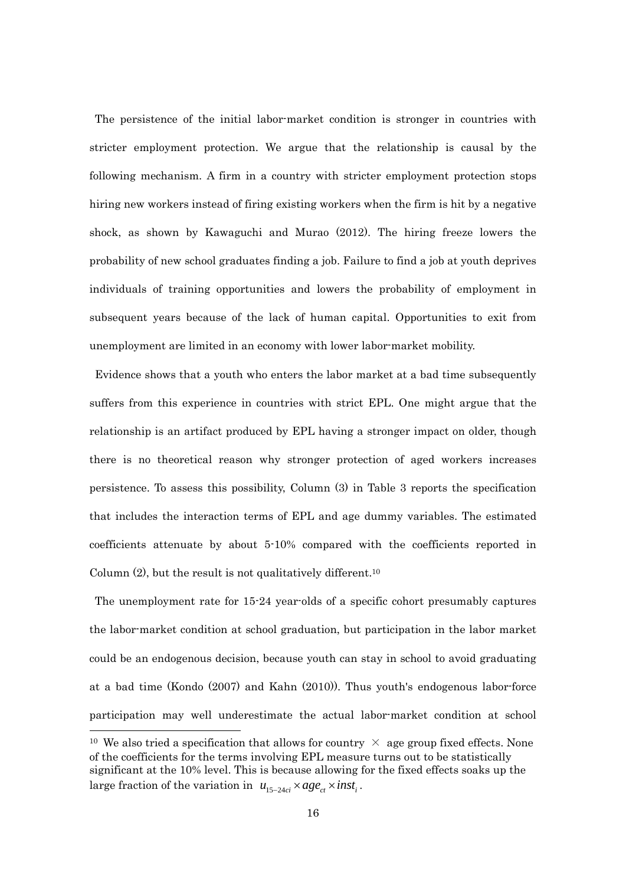The persistence of the initial labor-market condition is stronger in countries with stricter employment protection. We argue that the relationship is causal by the following mechanism. A firm in a country with stricter employment protection stops hiring new workers instead of firing existing workers when the firm is hit by a negative shock, as shown by Kawaguchi and Murao (2012). The hiring freeze lowers the probability of new school graduates finding a job. Failure to find a job at youth deprives individuals of training opportunities and lowers the probability of employment in subsequent years because of the lack of human capital. Opportunities to exit from unemployment are limited in an economy with lower labor-market mobility.

Evidence shows that a youth who enters the labor market at a bad time subsequently suffers from this experience in countries with strict EPL. One might argue that the relationship is an artifact produced by EPL having a stronger impact on older, though there is no theoretical reason why stronger protection of aged workers increases persistence. To assess this possibility, Column (3) in Table 3 reports the specification that includes the interaction terms of EPL and age dummy variables. The estimated coefficients attenuate by about 5-10% compared with the coefficients reported in Column  $(2)$ , but the result is not qualitatively different.<sup>10</sup>

The unemployment rate for 15-24 year-olds of a specific cohort presumably captures the labor-market condition at school graduation, but participation in the labor market could be an endogenous decision, because youth can stay in school to avoid graduating at a bad time (Kondo (2007) and Kahn (2010)). Thus youth's endogenous labor-force participation may well underestimate the actual labor-market condition at school

<sup>&</sup>lt;sup>10</sup> We also tried a specification that allows for country  $\times$  age group fixed effects. None of the coefficients for the terms involving EPL measure turns out to be statistically significant at the 10% level. This is because allowing for the fixed effects soaks up the large fraction of the variation in  $u_{15-24ci} \times age_{ct} \times inst_i$ .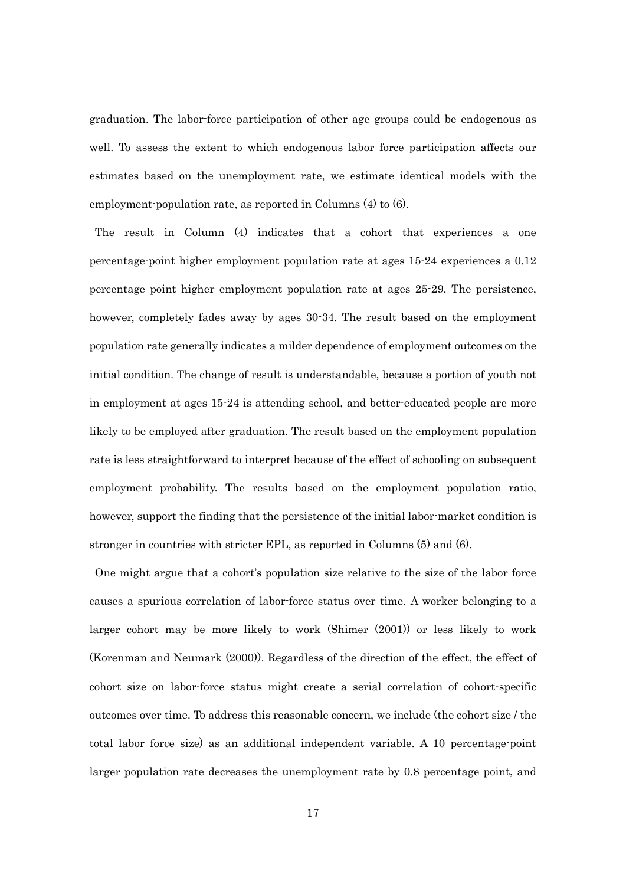graduation. The labor-force participation of other age groups could be endogenous as well. To assess the extent to which endogenous labor force participation affects our estimates based on the unemployment rate, we estimate identical models with the employment-population rate, as reported in Columns (4) to (6).

The result in Column (4) indicates that a cohort that experiences a one percentage-point higher employment population rate at ages 15-24 experiences a 0.12 percentage point higher employment population rate at ages 25-29. The persistence, however, completely fades away by ages 30-34. The result based on the employment population rate generally indicates a milder dependence of employment outcomes on the initial condition. The change of result is understandable, because a portion of youth not in employment at ages 15-24 is attending school, and better-educated people are more likely to be employed after graduation. The result based on the employment population rate is less straightforward to interpret because of the effect of schooling on subsequent employment probability. The results based on the employment population ratio, however, support the finding that the persistence of the initial labor-market condition is stronger in countries with stricter EPL, as reported in Columns (5) and (6).

One might argue that a cohort's population size relative to the size of the labor force causes a spurious correlation of labor-force status over time. A worker belonging to a larger cohort may be more likely to work (Shimer (2001)) or less likely to work (Korenman and Neumark (2000)). Regardless of the direction of the effect, the effect of cohort size on labor-force status might create a serial correlation of cohort-specific outcomes over time. To address this reasonable concern, we include (the cohort size / the total labor force size) as an additional independent variable. A 10 percentage-point larger population rate decreases the unemployment rate by 0.8 percentage point, and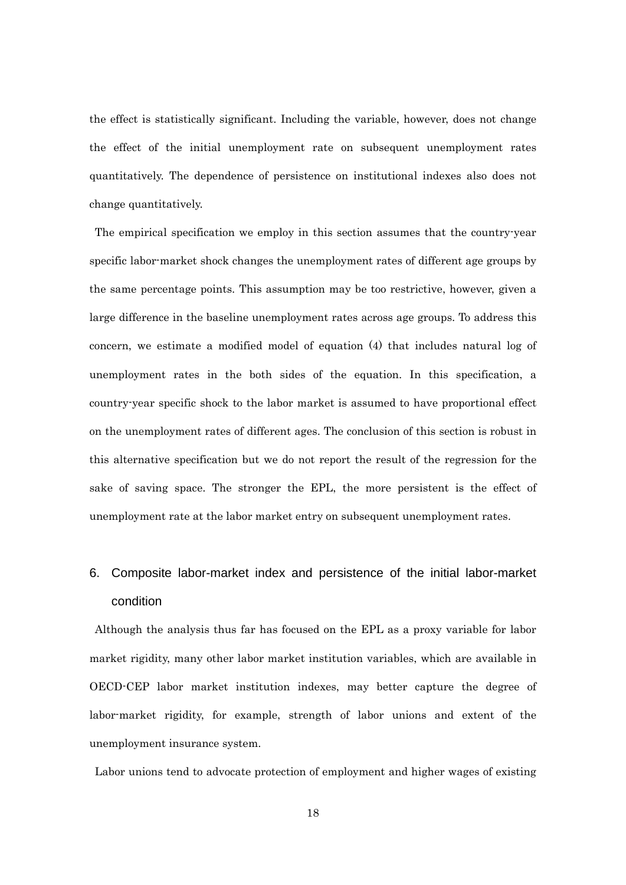the effect is statistically significant. Including the variable, however, does not change the effect of the initial unemployment rate on subsequent unemployment rates quantitatively. The dependence of persistence on institutional indexes also does not change quantitatively.

The empirical specification we employ in this section assumes that the country-year specific labor-market shock changes the unemployment rates of different age groups by the same percentage points. This assumption may be too restrictive, however, given a large difference in the baseline unemployment rates across age groups. To address this concern, we estimate a modified model of equation (4) that includes natural log of unemployment rates in the both sides of the equation. In this specification, a country-year specific shock to the labor market is assumed to have proportional effect on the unemployment rates of different ages. The conclusion of this section is robust in this alternative specification but we do not report the result of the regression for the sake of saving space. The stronger the EPL, the more persistent is the effect of unemployment rate at the labor market entry on subsequent unemployment rates.

# 6. Composite labor-market index and persistence of the initial labor-market condition

 Although the analysis thus far has focused on the EPL as a proxy variable for labor market rigidity, many other labor market institution variables, which are available in OECD-CEP labor market institution indexes, may better capture the degree of labor-market rigidity, for example, strength of labor unions and extent of the unemployment insurance system.

Labor unions tend to advocate protection of employment and higher wages of existing

18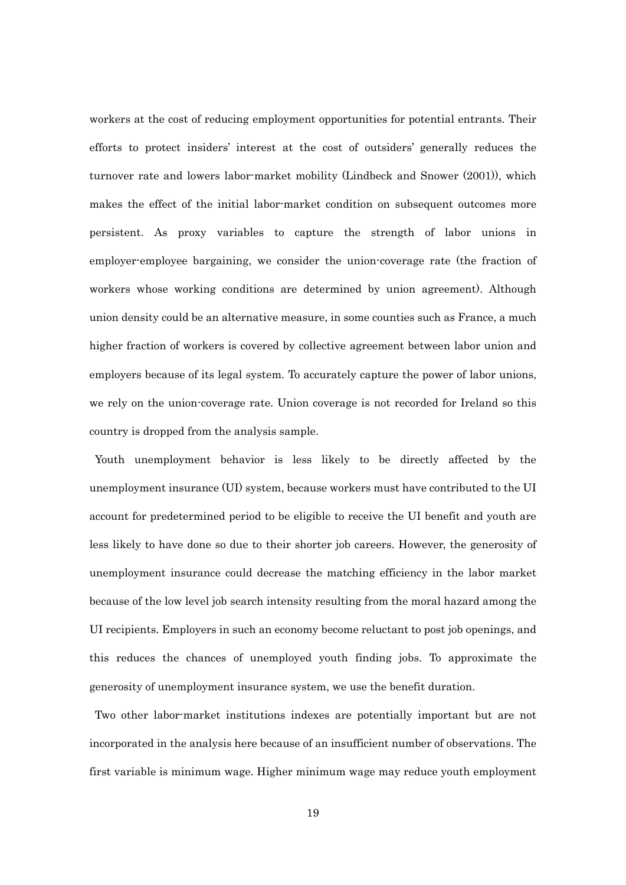workers at the cost of reducing employment opportunities for potential entrants. Their efforts to protect insiders' interest at the cost of outsiders' generally reduces the turnover rate and lowers labor-market mobility (Lindbeck and Snower (2001)), which makes the effect of the initial labor-market condition on subsequent outcomes more persistent. As proxy variables to capture the strength of labor unions in employer-employee bargaining, we consider the union-coverage rate (the fraction of workers whose working conditions are determined by union agreement). Although union density could be an alternative measure, in some counties such as France, a much higher fraction of workers is covered by collective agreement between labor union and employers because of its legal system. To accurately capture the power of labor unions, we rely on the union-coverage rate. Union coverage is not recorded for Ireland so this country is dropped from the analysis sample.

Youth unemployment behavior is less likely to be directly affected by the unemployment insurance (UI) system, because workers must have contributed to the UI account for predetermined period to be eligible to receive the UI benefit and youth are less likely to have done so due to their shorter job careers. However, the generosity of unemployment insurance could decrease the matching efficiency in the labor market because of the low level job search intensity resulting from the moral hazard among the UI recipients. Employers in such an economy become reluctant to post job openings, and this reduces the chances of unemployed youth finding jobs. To approximate the generosity of unemployment insurance system, we use the benefit duration.

 Two other labor-market institutions indexes are potentially important but are not incorporated in the analysis here because of an insufficient number of observations. The first variable is minimum wage. Higher minimum wage may reduce youth employment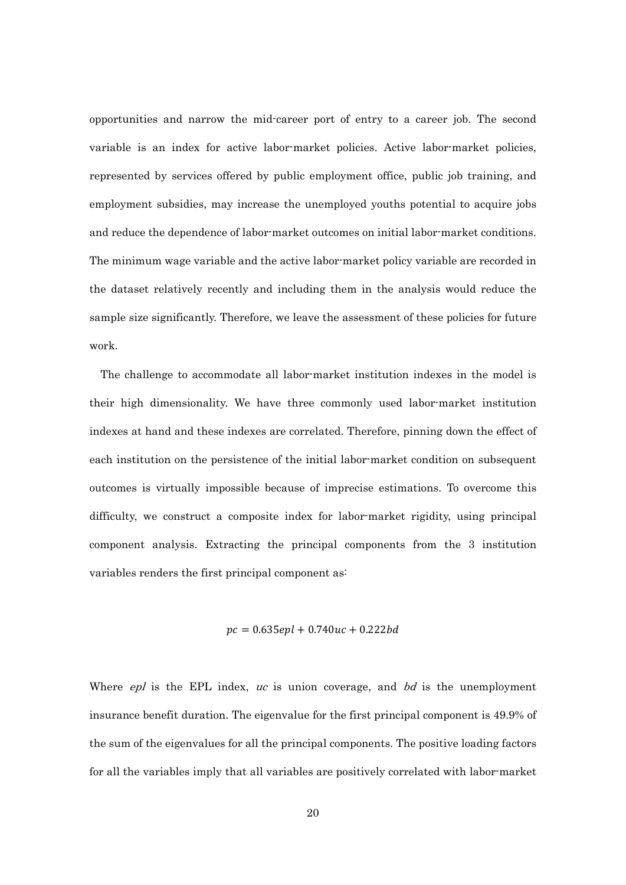opportunities and narrow the mid-career port of entry to a career job. The second variable is an index for active labor-market policies. Active labor-market policies, represented by services offered by public employment office, public job training, and employment subsidies, may increase the unemployed youths potential to acquire jobs and reduce the dependence of labor-market outcomes on initial labor-market conditions. The minimum wage variable and the active labor-market policy variable are recorded in the dataset relatively recently and including them in the analysis would reduce the sample size significantly. Therefore, we leave the assessment of these policies for future work.

 The challenge to accommodate all labor-market institution indexes in the model is their high dimensionality. We have three commonly used labor-market institution indexes at hand and these indexes are correlated. Therefore, pinning down the effect of each institution on the persistence of the initial labor-market condition on subsequent outcomes is virtually impossible because of imprecise estimations. To overcome this difficulty, we construct a composite index for labor-market rigidity, using principal component analysis. Extracting the principal components from the 3 institution variables renders the first principal component as:

$$
pc = 0.635epl + 0.740uc + 0.222bd
$$

Where  $epl$  is the EPL index, uc is union coverage, and bd is the unemployment insurance benefit duration. The eigenvalue for the first principal component is 49.9% of the sum of the eigenvalues for all the principal components. The positive loading factors for all the variables imply that all variables are positively correlated with labor-market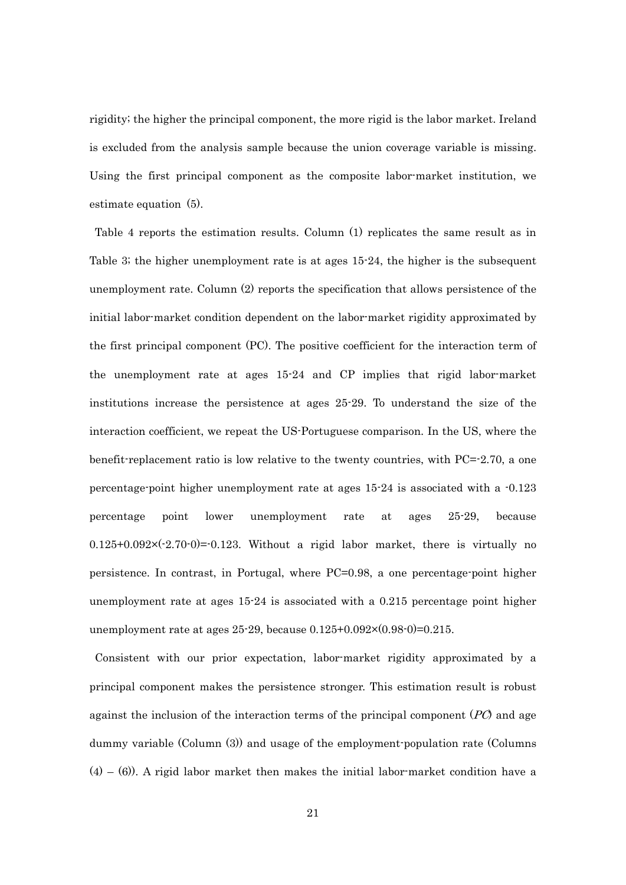rigidity; the higher the principal component, the more rigid is the labor market. Ireland is excluded from the analysis sample because the union coverage variable is missing. Using the first principal component as the composite labor-market institution, we estimate equation (5).

Table 4 reports the estimation results. Column (1) replicates the same result as in Table 3; the higher unemployment rate is at ages 15-24, the higher is the subsequent unemployment rate. Column (2) reports the specification that allows persistence of the initial labor-market condition dependent on the labor-market rigidity approximated by the first principal component (PC). The positive coefficient for the interaction term of the unemployment rate at ages 15-24 and CP implies that rigid labor-market institutions increase the persistence at ages 25-29. To understand the size of the interaction coefficient, we repeat the US-Portuguese comparison. In the US, where the benefit-replacement ratio is low relative to the twenty countries, with PC= $-2.70$ , a one percentage-point higher unemployment rate at ages 15-24 is associated with a -0.123 percentage point lower unemployment rate at ages 25-29, because  $0.125+0.092\times(-2.70-0)=0.123$ . Without a rigid labor market, there is virtually no persistence. In contrast, in Portugal, where PC=0.98, a one percentage-point higher unemployment rate at ages 15-24 is associated with a 0.215 percentage point higher unemployment rate at ages  $25-29$ , because  $0.125+0.092\times(0.98-0)=0.215$ .

Consistent with our prior expectation, labor-market rigidity approximated by a principal component makes the persistence stronger. This estimation result is robust against the inclusion of the interaction terms of the principal component  $(PC)$  and age dummy variable (Column (3)) and usage of the employment-population rate (Columns  $(4) - (6)$ . A rigid labor market then makes the initial labor-market condition have a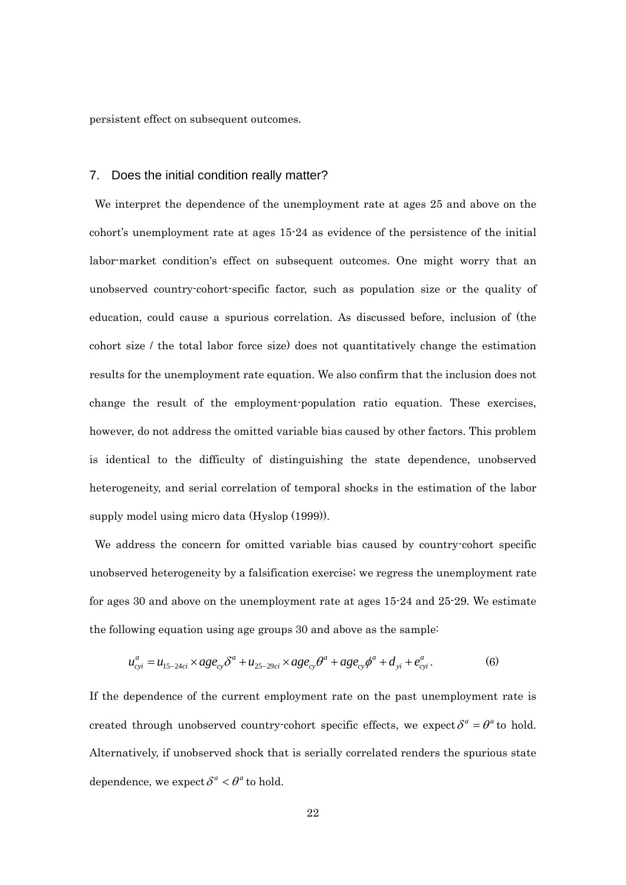persistent effect on subsequent outcomes.

#### 7. Does the initial condition really matter?

 We interpret the dependence of the unemployment rate at ages 25 and above on the cohort's unemployment rate at ages 15-24 as evidence of the persistence of the initial labor-market condition's effect on subsequent outcomes. One might worry that an unobserved country-cohort-specific factor, such as population size or the quality of education, could cause a spurious correlation. As discussed before, inclusion of (the cohort size / the total labor force size) does not quantitatively change the estimation results for the unemployment rate equation. We also confirm that the inclusion does not change the result of the employment-population ratio equation. These exercises, however, do not address the omitted variable bias caused by other factors. This problem is identical to the difficulty of distinguishing the state dependence, unobserved heterogeneity, and serial correlation of temporal shocks in the estimation of the labor supply model using micro data (Hyslop (1999)).

 We address the concern for omitted variable bias caused by country-cohort specific unobserved heterogeneity by a falsification exercise; we regress the unemployment rate for ages 30 and above on the unemployment rate at ages 15-24 and 25-29. We estimate the following equation using age groups 30 and above as the sample:

$$
u_{cyl}^a = u_{15-24ci} \times age_{cy} \delta^a + u_{25-29ci} \times age_{cy} \theta^a + age_{cy} \phi^a + d_{yl} + e_{cyl}^a.
$$
 (6)

If the dependence of the current employment rate on the past unemployment rate is created through unobserved country-cohort specific effects, we expect  $\delta^a = \theta^a$  to hold. Alternatively, if unobserved shock that is serially correlated renders the spurious state dependence, we expect  $\delta^a < \theta^a$  to hold.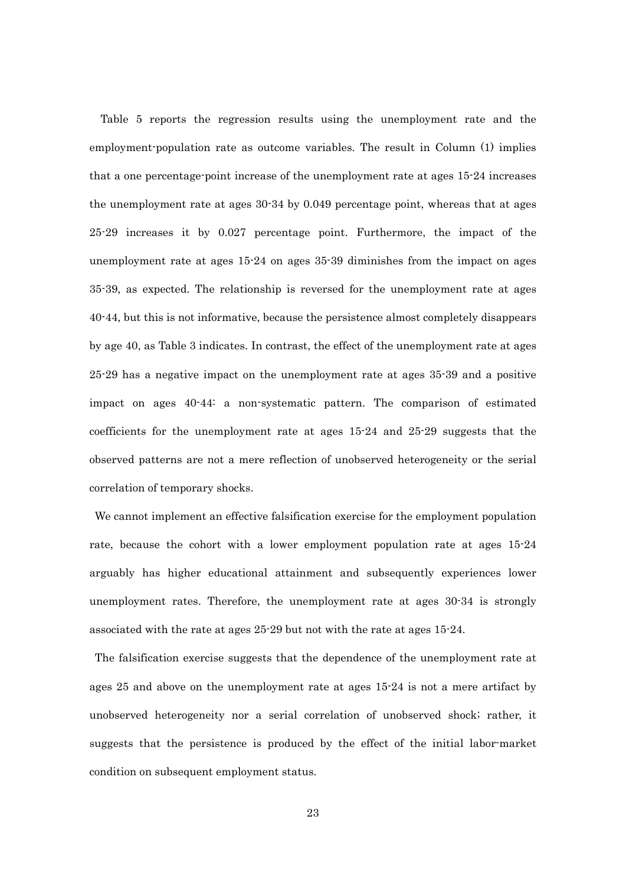Table 5 reports the regression results using the unemployment rate and the employment-population rate as outcome variables. The result in Column (1) implies that a one percentage-point increase of the unemployment rate at ages 15-24 increases the unemployment rate at ages 30-34 by 0.049 percentage point, whereas that at ages 25-29 increases it by 0.027 percentage point. Furthermore, the impact of the unemployment rate at ages 15-24 on ages 35-39 diminishes from the impact on ages 35-39, as expected. The relationship is reversed for the unemployment rate at ages 40-44, but this is not informative, because the persistence almost completely disappears by age 40, as Table 3 indicates. In contrast, the effect of the unemployment rate at ages 25-29 has a negative impact on the unemployment rate at ages 35-39 and a positive impact on ages 40-44: a non-systematic pattern. The comparison of estimated coefficients for the unemployment rate at ages 15-24 and 25-29 suggests that the observed patterns are not a mere reflection of unobserved heterogeneity or the serial correlation of temporary shocks.

We cannot implement an effective falsification exercise for the employment population rate, because the cohort with a lower employment population rate at ages 15-24 arguably has higher educational attainment and subsequently experiences lower unemployment rates. Therefore, the unemployment rate at ages 30-34 is strongly associated with the rate at ages 25-29 but not with the rate at ages 15-24.

 The falsification exercise suggests that the dependence of the unemployment rate at ages 25 and above on the unemployment rate at ages 15-24 is not a mere artifact by unobserved heterogeneity nor a serial correlation of unobserved shock; rather, it suggests that the persistence is produced by the effect of the initial labor-market condition on subsequent employment status.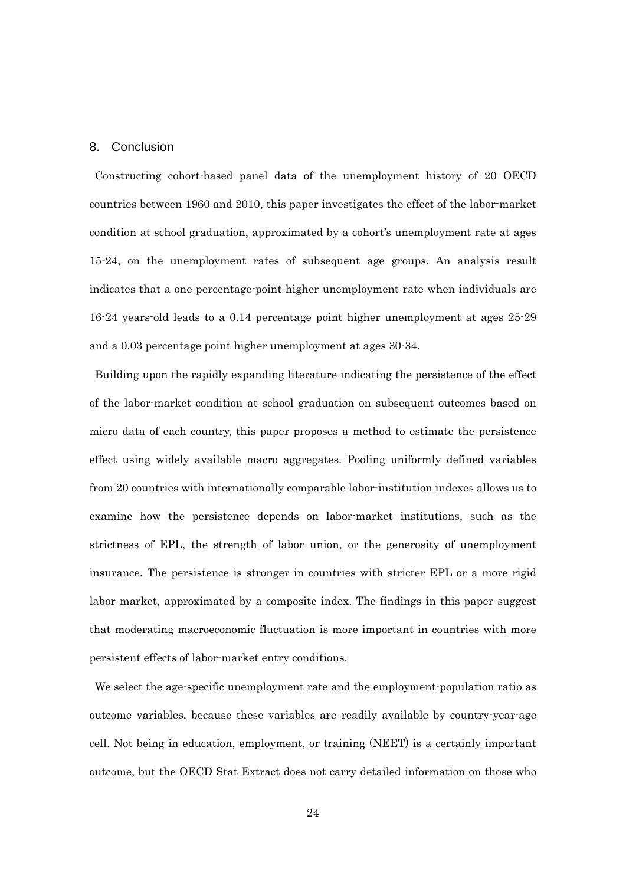#### 8. Conclusion

Constructing cohort-based panel data of the unemployment history of 20 OECD countries between 1960 and 2010, this paper investigates the effect of the labor-market condition at school graduation, approximated by a cohort's unemployment rate at ages 15-24, on the unemployment rates of subsequent age groups. An analysis result indicates that a one percentage-point higher unemployment rate when individuals are 16-24 years-old leads to a 0.14 percentage point higher unemployment at ages 25-29 and a 0.03 percentage point higher unemployment at ages 30-34.

Building upon the rapidly expanding literature indicating the persistence of the effect of the labor-market condition at school graduation on subsequent outcomes based on micro data of each country, this paper proposes a method to estimate the persistence effect using widely available macro aggregates. Pooling uniformly defined variables from 20 countries with internationally comparable labor-institution indexes allows us to examine how the persistence depends on labor-market institutions, such as the strictness of EPL, the strength of labor union, or the generosity of unemployment insurance. The persistence is stronger in countries with stricter EPL or a more rigid labor market, approximated by a composite index. The findings in this paper suggest that moderating macroeconomic fluctuation is more important in countries with more persistent effects of labor-market entry conditions.

We select the age-specific unemployment rate and the employment-population ratio as outcome variables, because these variables are readily available by country-year-age cell. Not being in education, employment, or training (NEET) is a certainly important outcome, but the OECD Stat Extract does not carry detailed information on those who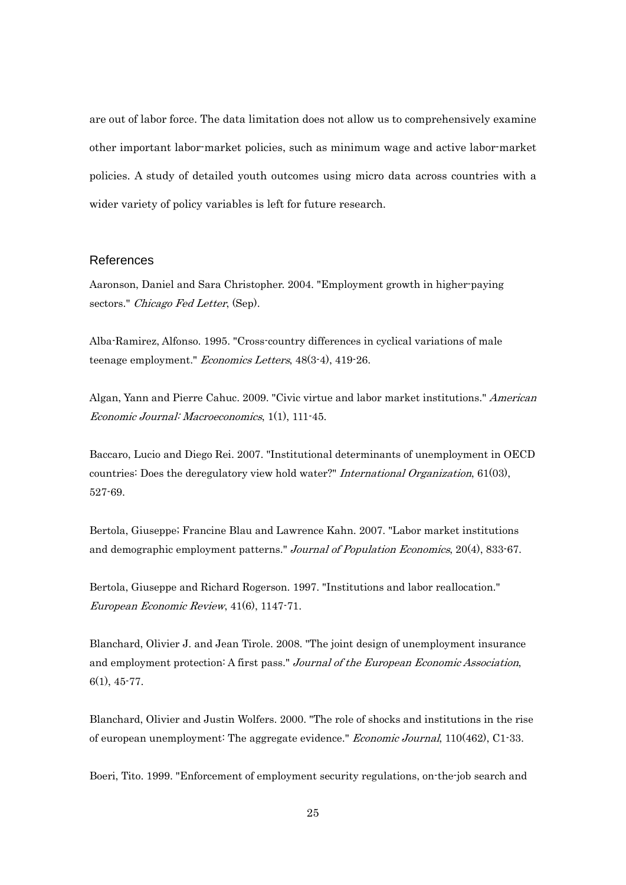are out of labor force. The data limitation does not allow us to comprehensively examine other important labor-market policies, such as minimum wage and active labor-market policies. A study of detailed youth outcomes using micro data across countries with a wider variety of policy variables is left for future research.

#### References

Aaronson, Daniel and Sara Christopher. 2004. "Employment growth in higher-paying sectors." Chicago Fed Letter, (Sep).

Alba-Ramirez, Alfonso. 1995. "Cross-country differences in cyclical variations of male teenage employment." *Economics Letters*, 48(3-4), 419-26.

Algan, Yann and Pierre Cahuc. 2009. "Civic virtue and labor market institutions." American Economic Journal: Macroeconomics, 1(1), 111-45.

Baccaro, Lucio and Diego Rei. 2007. "Institutional determinants of unemployment in OECD countries: Does the deregulatory view hold water?" International Organization, 61(03), 527-69.

Bertola, Giuseppe; Francine Blau and Lawrence Kahn. 2007. "Labor market institutions and demographic employment patterns." Journal of Population Economics, 20(4), 833-67.

Bertola, Giuseppe and Richard Rogerson. 1997. "Institutions and labor reallocation." European Economic Review, 41(6), 1147-71.

Blanchard, Olivier J. and Jean Tirole. 2008. "The joint design of unemployment insurance and employment protection: A first pass." Journal of the European Economic Association, 6(1), 45-77.

Blanchard, Olivier and Justin Wolfers. 2000. "The role of shocks and institutions in the rise of european unemployment: The aggregate evidence." Economic Journal, 110(462), C1-33.

Boeri, Tito. 1999. "Enforcement of employment security regulations, on-the-job search and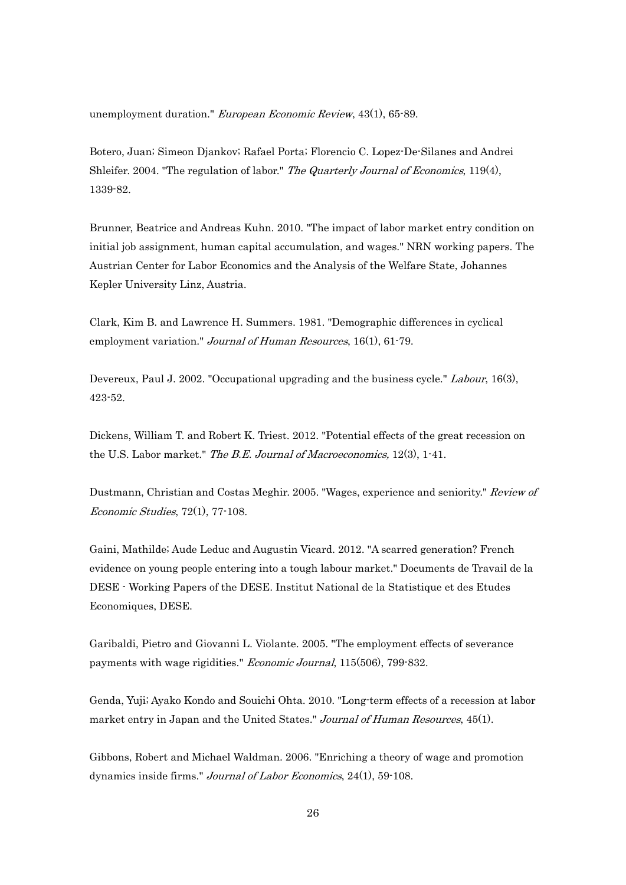unemployment duration." European Economic Review, 43(1), 65-89.

Botero, Juan; Simeon Djankov; Rafael Porta; Florencio C. Lopez-De-Silanes and Andrei Shleifer. 2004. "The regulation of labor." The Quarterly Journal of Economics, 119(4), 1339-82.

Brunner, Beatrice and Andreas Kuhn. 2010. "The impact of labor market entry condition on initial job assignment, human capital accumulation, and wages." NRN working papers. The Austrian Center for Labor Economics and the Analysis of the Welfare State, Johannes Kepler University Linz, Austria.

Clark, Kim B. and Lawrence H. Summers. 1981. "Demographic differences in cyclical employment variation." Journal of Human Resources, 16(1), 61-79.

Devereux, Paul J. 2002. "Occupational upgrading and the business cycle." Labour, 16(3), 423-52.

Dickens, William T. and Robert K. Triest. 2012. "Potential effects of the great recession on the U.S. Labor market." The B.E. Journal of Macroeconomics, 12(3), 1-41.

Dustmann, Christian and Costas Meghir. 2005. "Wages, experience and seniority." Review of Economic Studies, 72(1), 77-108.

Gaini, Mathilde; Aude Leduc and Augustin Vicard. 2012. "A scarred generation? French evidence on young people entering into a tough labour market." Documents de Travail de la DESE - Working Papers of the DESE. Institut National de la Statistique et des Etudes Economiques, DESE.

Garibaldi, Pietro and Giovanni L. Violante. 2005. "The employment effects of severance payments with wage rigidities." *Economic Journal*, 115(506), 799-832.

Genda, Yuji; Ayako Kondo and Souichi Ohta. 2010. "Long-term effects of a recession at labor market entry in Japan and the United States." Journal of Human Resources, 45(1).

Gibbons, Robert and Michael Waldman. 2006. "Enriching a theory of wage and promotion dynamics inside firms." Journal of Labor Economics, 24(1), 59-108.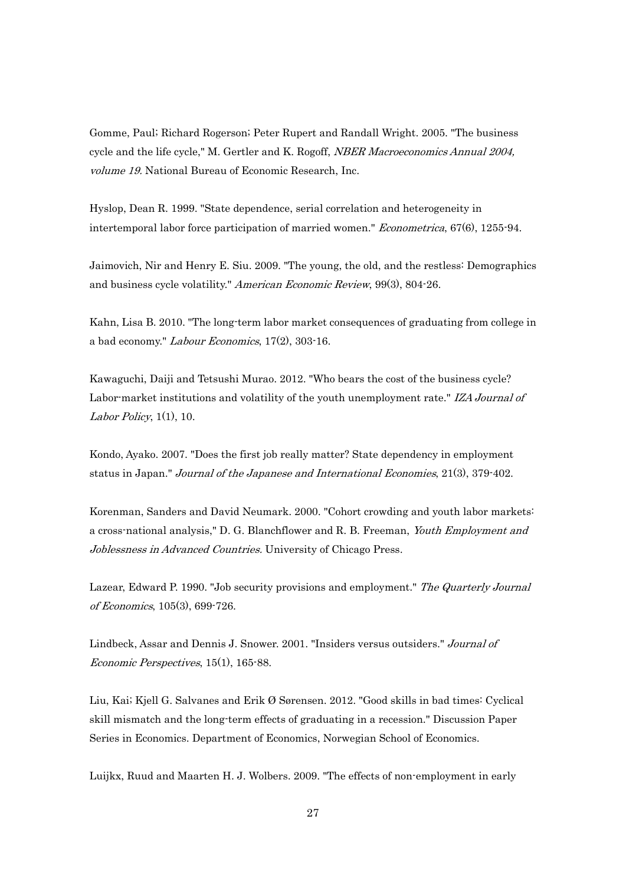Gomme, Paul; Richard Rogerson; Peter Rupert and Randall Wright. 2005. "The business cycle and the life cycle," M. Gertler and K. Rogoff, *NBER Macroeconomics Annual 2004*, volume 19. National Bureau of Economic Research, Inc.

Hyslop, Dean R. 1999. "State dependence, serial correlation and heterogeneity in intertemporal labor force participation of married women." Econometrica, 67(6), 1255-94.

Jaimovich, Nir and Henry E. Siu. 2009. "The young, the old, and the restless: Demographics and business cycle volatility." American Economic Review, 99(3), 804-26.

Kahn, Lisa B. 2010. "The long-term labor market consequences of graduating from college in a bad economy." Labour Economics, 17(2), 303-16.

Kawaguchi, Daiji and Tetsushi Murao. 2012. "Who bears the cost of the business cycle? Labor-market institutions and volatility of the youth unemployment rate." IZA Journal of Labor Policy,  $1(1)$ ,  $10$ .

Kondo, Ayako. 2007. "Does the first job really matter? State dependency in employment status in Japan." Journal of the Japanese and International Economies, 21(3), 379-402.

Korenman, Sanders and David Neumark. 2000. "Cohort crowding and youth labor markets: a cross-national analysis," D. G. Blanchflower and R. B. Freeman, Youth Employment and Joblessness in Advanced Countries. University of Chicago Press.

Lazear, Edward P. 1990. "Job security provisions and employment." The Quarterly Journal of Economics, 105(3), 699-726.

Lindbeck, Assar and Dennis J. Snower. 2001. "Insiders versus outsiders." Journal of Economic Perspectives, 15(1), 165-88.

Liu, Kai; Kjell G. Salvanes and Erik Ø Sørensen. 2012. "Good skills in bad times: Cyclical skill mismatch and the long-term effects of graduating in a recession." Discussion Paper Series in Economics. Department of Economics, Norwegian School of Economics.

Luijkx, Ruud and Maarten H. J. Wolbers. 2009. "The effects of non-employment in early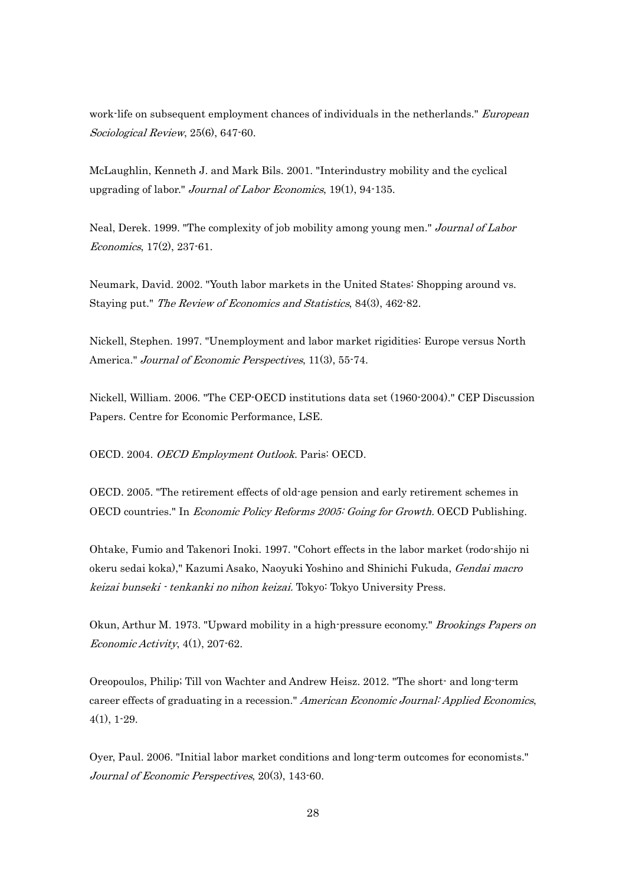work-life on subsequent employment chances of individuals in the netherlands." *European* Sociological Review, 25(6), 647-60.

McLaughlin, Kenneth J. and Mark Bils. 2001. "Interindustry mobility and the cyclical upgrading of labor." Journal of Labor Economics, 19(1), 94-135.

Neal, Derek. 1999. "The complexity of job mobility among young men." Journal of Labor Economics, 17(2), 237-61.

Neumark, David. 2002. "Youth labor markets in the United States: Shopping around vs. Staying put." The Review of Economics and Statistics, 84(3), 462-82.

Nickell, Stephen. 1997. "Unemployment and labor market rigidities: Europe versus North America." Journal of Economic Perspectives, 11(3), 55-74.

Nickell, William. 2006. "The CEP-OECD institutions data set (1960-2004)." CEP Discussion Papers. Centre for Economic Performance, LSE.

OECD. 2004. OECD Employment Outlook. Paris: OECD.

OECD. 2005. "The retirement effects of old-age pension and early retirement schemes in OECD countries." In Economic Policy Reforms 2005: Going for Growth. OECD Publishing.

Ohtake, Fumio and Takenori Inoki. 1997. "Cohort effects in the labor market (rodo-shijo ni okeru sedai koka)," Kazumi Asako, Naoyuki Yoshino and Shinichi Fukuda, *Gendai macro* keizai bunseki - tenkanki no nihon keizai. Tokyo: Tokyo University Press.

Okun, Arthur M. 1973. "Upward mobility in a high-pressure economy." *Brookings Papers on* Economic Activity, 4(1), 207-62.

Oreopoulos, Philip; Till von Wachter and Andrew Heisz. 2012. "The short- and long-term career effects of graduating in a recession." American Economic Journal: Applied Economics, 4(1), 1-29.

Oyer, Paul. 2006. "Initial labor market conditions and long-term outcomes for economists." Journal of Economic Perspectives, 20(3), 143-60.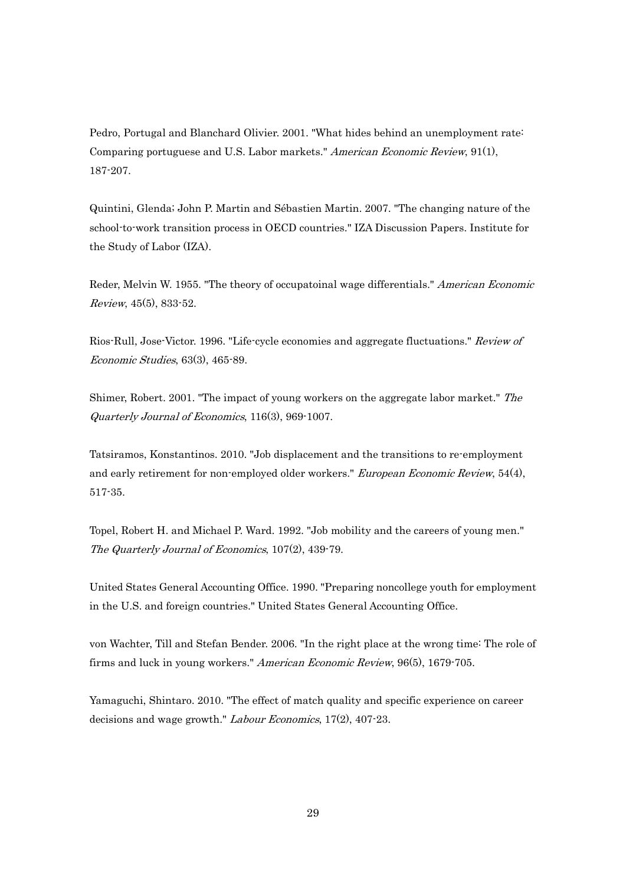Pedro, Portugal and Blanchard Olivier. 2001. "What hides behind an unemployment rate: Comparing portuguese and U.S. Labor markets." American Economic Review, 91(1), 187-207.

Quintini, Glenda; John P. Martin and Sébastien Martin. 2007. "The changing nature of the school-to-work transition process in OECD countries." IZA Discussion Papers. Institute for the Study of Labor (IZA).

Reder, Melvin W. 1955. "The theory of occupatoinal wage differentials." American Economic Review, 45(5), 833-52.

Rios-Rull, Jose-Victor. 1996. "Life-cycle economies and aggregate fluctuations." Review of Economic Studies, 63(3), 465-89.

Shimer, Robert. 2001. "The impact of young workers on the aggregate labor market." The Quarterly Journal of Economics, 116(3), 969-1007.

Tatsiramos, Konstantinos. 2010. "Job displacement and the transitions to re-employment and early retirement for non-employed older workers." *European Economic Review*, 54(4), 517-35.

Topel, Robert H. and Michael P. Ward. 1992. "Job mobility and the careers of young men." The Quarterly Journal of Economics, 107(2), 439-79.

United States General Accounting Office. 1990. "Preparing noncollege youth for employment in the U.S. and foreign countries." United States General Accounting Office.

von Wachter, Till and Stefan Bender. 2006. "In the right place at the wrong time: The role of firms and luck in young workers." American Economic Review, 96(5), 1679-705.

Yamaguchi, Shintaro. 2010. "The effect of match quality and specific experience on career decisions and wage growth." *Labour Economics*, 17(2), 407-23.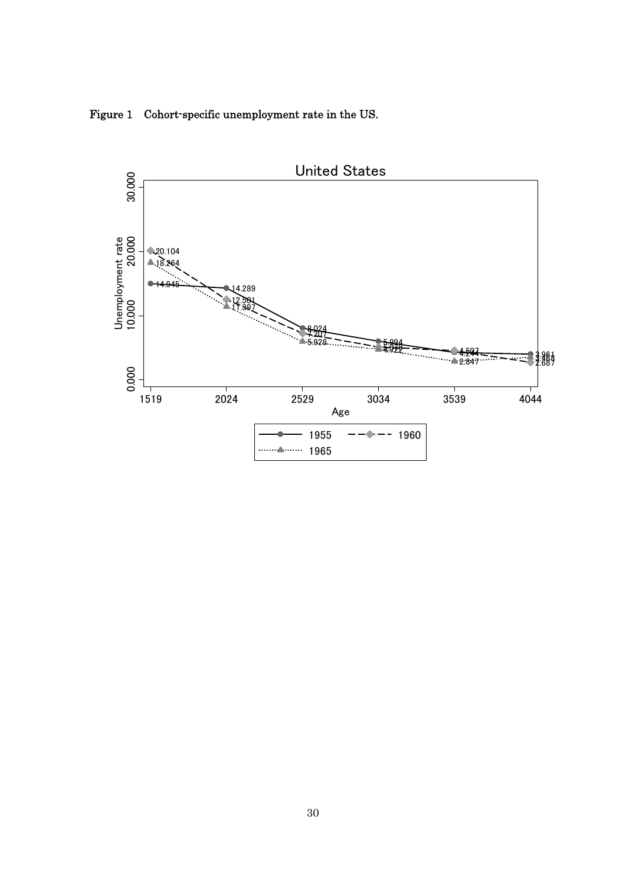Figure 1 Cohort-specific unemployment rate in the US.

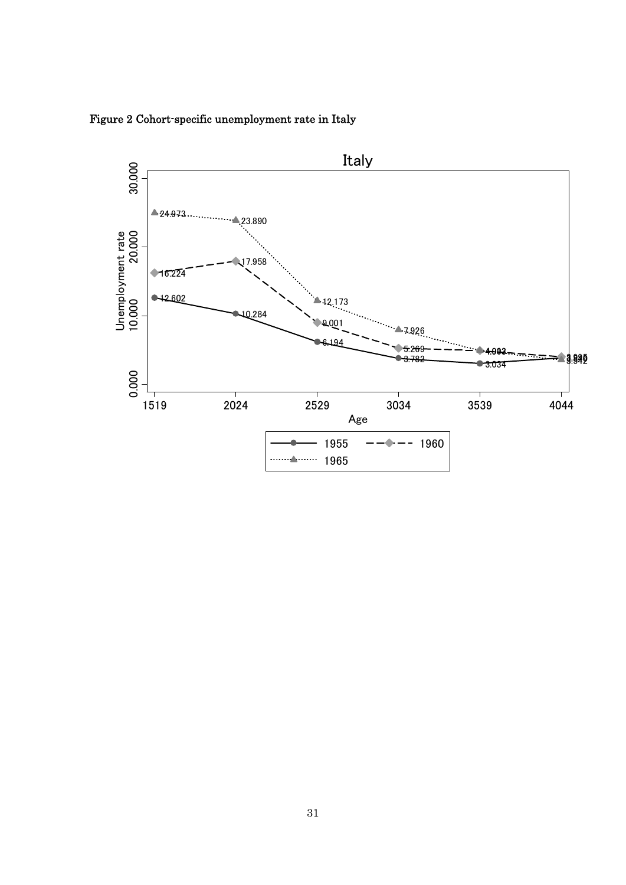

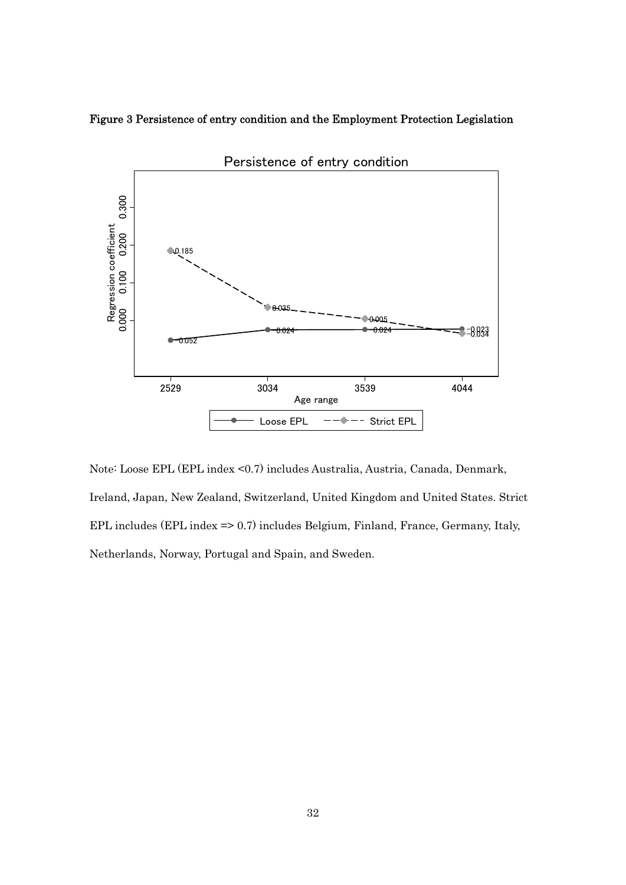



Note: Loose EPL (EPL index <0.7) includes Australia, Austria, Canada, Denmark, Ireland, Japan, New Zealand, Switzerland, United Kingdom and United States. Strict EPL includes (EPL index => 0.7) includes Belgium, Finland, France, Germany, Italy, Netherlands, Norway, Portugal and Spain, and Sweden.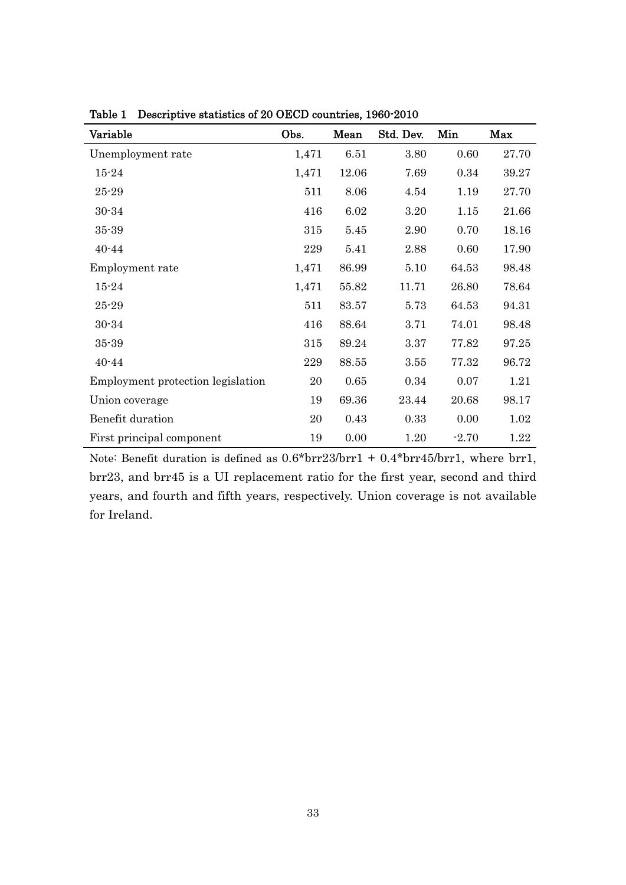| Variable                          | Obs.  | Mean  | Std. Dev. | Min     | Max   |
|-----------------------------------|-------|-------|-----------|---------|-------|
| Unemployment rate                 | 1,471 | 6.51  | 3.80      | 0.60    | 27.70 |
| $15 - 24$                         | 1,471 | 12.06 | 7.69      | 0.34    | 39.27 |
| $25 - 29$                         | 511   | 8.06  | 4.54      | 1.19    | 27.70 |
| $30 - 34$                         | 416   | 6.02  | 3.20      | 1.15    | 21.66 |
| $35 - 39$                         | 315   | 5.45  | 2.90      | 0.70    | 18.16 |
| $40 - 44$                         | 229   | 5.41  | 2.88      | 0.60    | 17.90 |
| Employment rate                   | 1,471 | 86.99 | 5.10      | 64.53   | 98.48 |
| $15 - 24$                         | 1,471 | 55.82 | 11.71     | 26.80   | 78.64 |
| $25 - 29$                         | 511   | 83.57 | 5.73      | 64.53   | 94.31 |
| $30 - 34$                         | 416   | 88.64 | 3.71      | 74.01   | 98.48 |
| $35 - 39$                         | 315   | 89.24 | 3.37      | 77.82   | 97.25 |
| $40 - 44$                         | 229   | 88.55 | 3.55      | 77.32   | 96.72 |
| Employment protection legislation | 20    | 0.65  | 0.34      | 0.07    | 1.21  |
| Union coverage                    | 19    | 69.36 | 23.44     | 20.68   | 98.17 |
| Benefit duration                  | 20    | 0.43  | 0.33      | 0.00    | 1.02  |
| First principal component         | 19    | 0.00  | 1.20      | $-2.70$ | 1.22  |

Table 1 Descriptive statistics of 20 OECD countries, 1960-2010

Note: Benefit duration is defined as 0.6\*brr23/brr1 + 0.4\*brr45/brr1, where brr1, brr23, and brr45 is a UI replacement ratio for the first year, second and third years, and fourth and fifth years, respectively. Union coverage is not available for Ireland.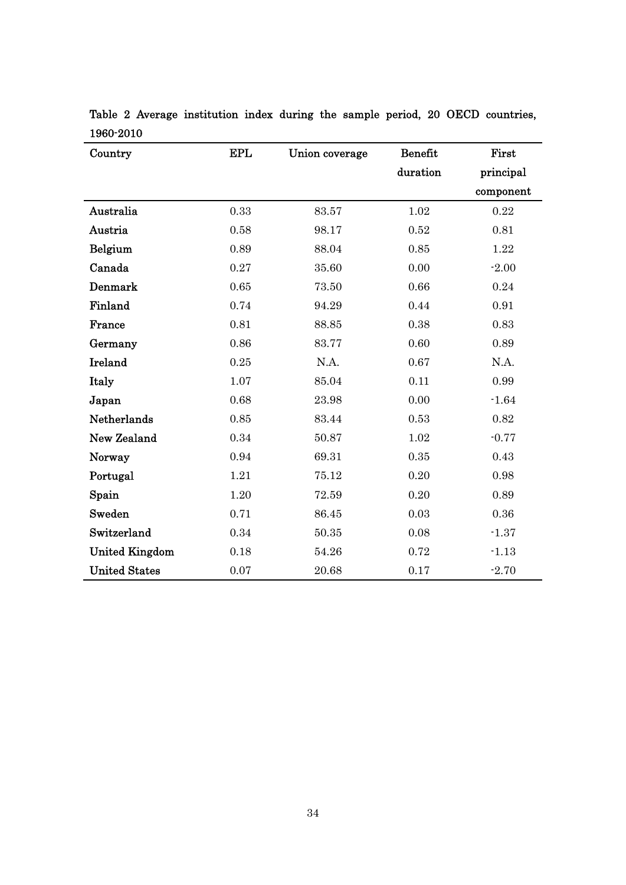| Country               | <b>EPL</b> | Union coverage | Benefit  | First     |
|-----------------------|------------|----------------|----------|-----------|
|                       |            |                | duration | principal |
|                       |            |                |          | component |
| Australia             | 0.33       | 83.57          | 1.02     | 0.22      |
| Austria               | 0.58       | 98.17          | 0.52     | 0.81      |
| Belgium               | 0.89       | 88.04          | 0.85     | 1.22      |
| Canada                | 0.27       | 35.60          | 0.00     | $-2.00$   |
| Denmark               | 0.65       | 73.50          | 0.66     | 0.24      |
| Finland               | 0.74       | 94.29          | 0.44     | 0.91      |
| France                | 0.81       | 88.85          | 0.38     | 0.83      |
| Germany               | 0.86       | 83.77          | 0.60     | 0.89      |
| Ireland               | 0.25       | N.A.           | 0.67     | N.A.      |
| Italy                 | 1.07       | 85.04          | 0.11     | 0.99      |
| Japan                 | 0.68       | 23.98          | 0.00     | $-1.64$   |
| Netherlands           | 0.85       | 83.44          | 0.53     | 0.82      |
| New Zealand           | 0.34       | 50.87          | 1.02     | $-0.77$   |
| Norway                | 0.94       | 69.31          | 0.35     | 0.43      |
| Portugal              | 1.21       | 75.12          | 0.20     | 0.98      |
| Spain                 | 1.20       | 72.59          | 0.20     | 0.89      |
| Sweden                | 0.71       | 86.45          | 0.03     | 0.36      |
| Switzerland           | 0.34       | $50.35\,$      | 0.08     | $-1.37$   |
| <b>United Kingdom</b> | 0.18       | 54.26          | 0.72     | $-1.13$   |
| <b>United States</b>  | 0.07       | 20.68          | 0.17     | $-2.70$   |

Table 2 Average institution index during the sample period, 20 OECD countries, 1960-2010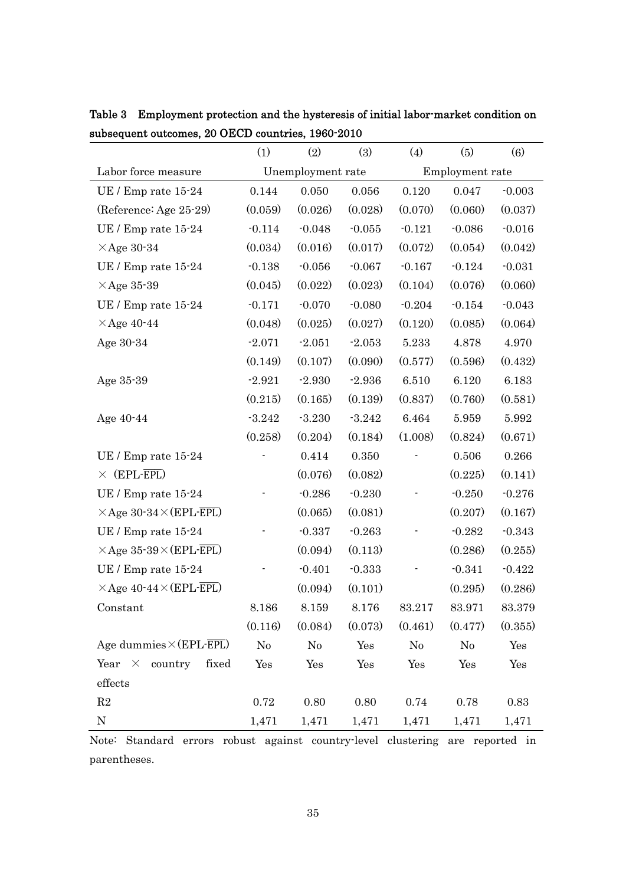|                                       | (1)               | (2)      | (3)             | (4)      | (5)      | (6)      |
|---------------------------------------|-------------------|----------|-----------------|----------|----------|----------|
| Labor force measure                   | Unemployment rate |          | Employment rate |          |          |          |
| UE / Emp rate 15-24                   | 0.144             | 0.050    | 0.056           | 0.120    | 0.047    | $-0.003$ |
| (Reference: Age 25-29)                | (0.059)           | (0.026)  | (0.028)         | (0.070)  | (0.060)  | (0.037)  |
| UE / Emp rate 15-24                   | $-0.114$          | $-0.048$ | $-0.055$        | $-0.121$ | $-0.086$ | $-0.016$ |
| $\times$ Age 30-34                    | (0.034)           | (0.016)  | (0.017)         | (0.072)  | (0.054)  | (0.042)  |
| UE / Emp rate 15-24                   | $-0.138$          | $-0.056$ | $-0.067$        | $-0.167$ | $-0.124$ | $-0.031$ |
| $\times$ Age 35-39                    | (0.045)           | (0.022)  | (0.023)         | (0.104)  | (0.076)  | (0.060)  |
| UE / Emp rate 15-24                   | $-0.171$          | $-0.070$ | $-0.080$        | $-0.204$ | $-0.154$ | $-0.043$ |
| $\times$ Age 40-44                    | (0.048)           | (0.025)  | (0.027)         | (0.120)  | (0.085)  | (0.064)  |
| Age 30-34                             | $-2.071$          | $-2.051$ | $-2.053$        | 5.233    | 4.878    | 4.970    |
|                                       | (0.149)           | (0.107)  | (0.090)         | (0.577)  | (0.596)  | (0.432)  |
| Age 35-39                             | $-2.921$          | $-2.930$ | $-2.936$        | 6.510    | 6.120    | 6.183    |
|                                       | (0.215)           | (0.165)  | (0.139)         | (0.837)  | (0.760)  | (0.581)  |
| Age 40-44                             | $-3.242$          | $-3.230$ | $-3.242$        | 6.464    | 5.959    | 5.992    |
|                                       | (0.258)           | (0.204)  | (0.184)         | (1.008)  | (0.824)  | (0.671)  |
| UE / Emp rate 15-24                   |                   | 0.414    | 0.350           |          | 0.506    | 0.266    |
| $\times$ (EPL-EPL)                    |                   | (0.076)  | (0.082)         |          | (0.225)  | (0.141)  |
| UE / Emp rate 15-24                   |                   | $-0.286$ | $-0.230$        |          | $-0.250$ | $-0.276$ |
| $\times$ Age 30-34 $\times$ (EPL-EPL) |                   | (0.065)  | (0.081)         |          | (0.207)  | (0.167)  |
| UE / Emp rate 15-24                   |                   | $-0.337$ | $-0.263$        |          | $-0.282$ | $-0.343$ |
| $\times$ Age 35-39 $\times$ (EPL-EPL) |                   | (0.094)  | (0.113)         |          | (0.286)  | (0.255)  |
| UE / Emp rate 15-24                   |                   | $-0.401$ | $-0.333$        |          | $-0.341$ | $-0.422$ |
| $\times$ Age 40-44 $\times$ (EPL-EPL) |                   | (0.094)  | (0.101)         |          | (0.295)  | (0.286)  |
| Constant                              | 8.186             | 8.159    | 8.176           | 83.217   | 83.971   | 83.379   |
|                                       | (0.116)           | (0.084)  | (0.073)         | (0.461)  | (0.477)  | (0.355)  |
| Age dummies $\times$ (EPL-EPL)        | No                | No       | Yes             | No       | No       | Yes      |
| Year $\times$ country<br>fixed        | Yes               | Yes      | Yes             | Yes      | Yes      | Yes      |
| effects                               |                   |          |                 |          |          |          |
| R2                                    | 0.72              | 0.80     | 0.80            | 0.74     | 0.78     | 0.83     |
| ${\rm N}$                             | 1,471             | 1,471    | 1,471           | 1,471    | 1,471    | 1,471    |

Table 3 Employment protection and the hysteresis of initial labor-market condition on subsequent outcomes, 20 OECD countries, 1960-2010

Note: Standard errors robust against country-level clustering are reported in parentheses.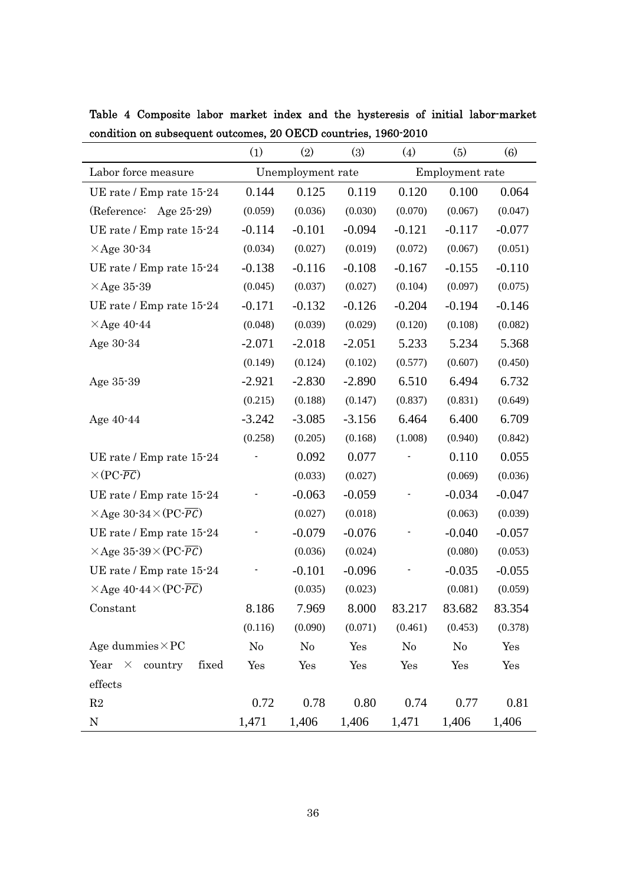|                                                    | (1)               | (2)      | (3)             | (4)      | (5)            | $\left( 6\right)$ |
|----------------------------------------------------|-------------------|----------|-----------------|----------|----------------|-------------------|
| Labor force measure                                | Unemployment rate |          | Employment rate |          |                |                   |
| UE rate / Emp rate 15-24                           | 0.144             | 0.125    | 0.119           | 0.120    | 0.100          | 0.064             |
| (Reference: Age 25-29)                             | (0.059)           | (0.036)  | (0.030)         | (0.070)  | (0.067)        | (0.047)           |
| UE rate / Emp rate 15-24                           | $-0.114$          | $-0.101$ | $-0.094$        | $-0.121$ | $-0.117$       | $-0.077$          |
| $\times$ Age 30-34                                 | (0.034)           | (0.027)  | (0.019)         | (0.072)  | (0.067)        | (0.051)           |
| UE rate / Emp rate 15-24                           | $-0.138$          | $-0.116$ | $-0.108$        | $-0.167$ | $-0.155$       | $-0.110$          |
| $\times$ Age 35-39                                 | (0.045)           | (0.037)  | (0.027)         | (0.104)  | (0.097)        | (0.075)           |
| UE rate / Emp rate 15-24                           | $-0.171$          | $-0.132$ | $-0.126$        | $-0.204$ | $-0.194$       | $-0.146$          |
| $\times$ Age 40-44                                 | (0.048)           | (0.039)  | (0.029)         | (0.120)  | (0.108)        | (0.082)           |
| Age 30-34                                          | $-2.071$          | $-2.018$ | $-2.051$        | 5.233    | 5.234          | 5.368             |
|                                                    | (0.149)           | (0.124)  | (0.102)         | (0.577)  | (0.607)        | (0.450)           |
| Age 35-39                                          | $-2.921$          | $-2.830$ | $-2.890$        | 6.510    | 6.494          | 6.732             |
|                                                    | (0.215)           | (0.188)  | (0.147)         | (0.837)  | (0.831)        | (0.649)           |
| Age 40-44                                          | $-3.242$          | $-3.085$ | $-3.156$        | 6.464    | 6.400          | 6.709             |
|                                                    | (0.258)           | (0.205)  | (0.168)         | (1.008)  | (0.940)        | (0.842)           |
| UE rate / Emp rate 15-24                           |                   | 0.092    | 0.077           |          | 0.110          | 0.055             |
| $\times (PC\text{-}PC)$                            |                   | (0.033)  | (0.027)         |          | (0.069)        | (0.036)           |
| UE rate / Emp rate 15-24                           |                   | $-0.063$ | $-0.059$        |          | $-0.034$       | $-0.047$          |
| $\times$ Age 30-34 $\times$ (PC- $\overline{PC}$ ) |                   | (0.027)  | (0.018)         |          | (0.063)        | (0.039)           |
| UE rate / Emp rate 15-24                           |                   | $-0.079$ | $-0.076$        |          | $-0.040$       | $-0.057$          |
| $\times$ Age 35-39 $\times$ (PC- $\overline{PC}$ ) |                   | (0.036)  | (0.024)         |          | (0.080)        | (0.053)           |
| UE rate / Emp rate 15-24                           |                   | $-0.101$ | $-0.096$        |          | $-0.035$       | $-0.055$          |
| $\times$ Age 40-44 $\times$ (PC- $\overline{PC}$ ) |                   | (0.035)  | (0.023)         |          | (0.081)        | (0.059)           |
| Constant                                           | 8.186             | 7.969    | 8.000           | 83.217   | 83.682         | 83.354            |
|                                                    | (0.116)           | (0.090)  | (0.071)         | (0.461)  | (0.453)        | (0.378)           |
| Age dummies $\times$ PC                            | No                | No       | Yes             | $\rm No$ | N <sub>0</sub> | Yes               |
| Year $\times$ country<br>fixed                     | Yes               | Yes      | Yes             | Yes      | Yes            | Yes               |
| effects                                            |                   |          |                 |          |                |                   |
| $\mathbf{R}2$                                      | 0.72              | 0.78     | 0.80            | 0.74     | 0.77           | 0.81              |
| ${\bf N}$                                          | 1,471             | 1,406    | 1,406           | 1,471    | 1,406          | 1,406             |

Table 4 Composite labor market index and the hysteresis of initial labor-market condition on subsequent outcomes, 20 OECD countries, 1960-2010